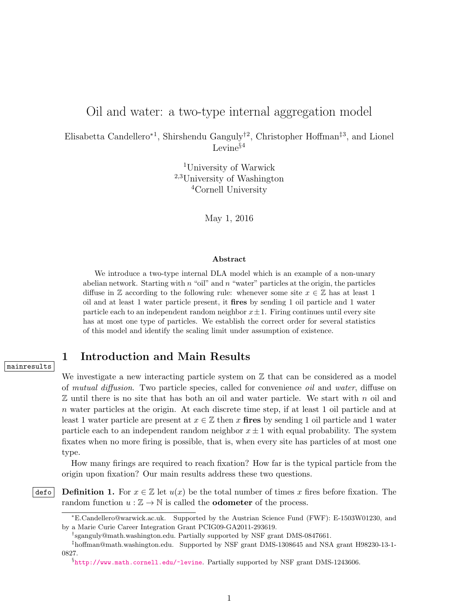# <span id="page-0-0"></span>Oil and water: a two-type internal aggregation model

Elisabetta Candellero<sup>∗</sup><sup>1</sup> , Shirshendu Ganguly†<sup>2</sup> , Christopher Hoffman‡<sup>3</sup> , and Lionel Levine $\S^4$ 

> <sup>1</sup>University of Warwick 2,3University of Washington <sup>4</sup>Cornell University

> > May 1, 2016

#### Abstract

We introduce a two-type internal DLA model which is an example of a non-unary abelian network. Starting with  $n$  "oil" and  $n$  "water" particles at the origin, the particles diffuse in Z according to the following rule: whenever some site  $x \in \mathbb{Z}$  has at least 1 oil and at least 1 water particle present, it fires by sending 1 oil particle and 1 water particle each to an independent random neighbor  $x \pm 1$ . Firing continues until every site has at most one type of particles. We establish the correct order for several statistics of this model and identify the scaling limit under assumption of existence.

# 1 Introduction and Main Results

mainresults

We investigate a new interacting particle system on  $\mathbb Z$  that can be considered as a model of mutual diffusion. Two particle species, called for convenience oil and water, diffuse on  $\mathbb Z$  until there is no site that has both an oil and water particle. We start with n oil and n water particles at the origin. At each discrete time step, if at least 1 oil particle and at least 1 water particle are present at  $x \in \mathbb{Z}$  then x fires by sending 1 oil particle and 1 water particle each to an independent random neighbor  $x \pm 1$  with equal probability. The system fixates when no more firing is possible, that is, when every site has particles of at most one type.

<span id="page-0-1"></span>How many firings are required to reach fixation? How far is the typical particle from the origin upon fixation? Our main results address these two questions.

defo Definition 1. For  $x \in \mathbb{Z}$  let  $u(x)$  be the total number of times x fires before fixation. The random function  $u : \mathbb{Z} \to \mathbb{N}$  is called the **odometer** of the process.

<sup>∗</sup>E.Candellero@warwick.ac.uk. Supported by the Austrian Science Fund (FWF): E-1503W01230, and by a Marie Curie Career Integration Grant PCIG09-GA2011-293619.

<sup>†</sup> sganguly@math.washington.edu. Partially supported by NSF grant DMS-0847661.

<sup>‡</sup>hoffman@math.washington.edu. Supported by NSF grant DMS-1308645 and NSA grant H98230-13-1- 0827.

 $^{\S}\text{http://www.math.cornell.edu/~levine. Partially supported by NSF grant DMS-1243606.}$  $^{\S}\text{http://www.math.cornell.edu/~levine. Partially supported by NSF grant DMS-1243606.}$  $^{\S}\text{http://www.math.cornell.edu/~levine. Partially supported by NSF grant DMS-1243606.}$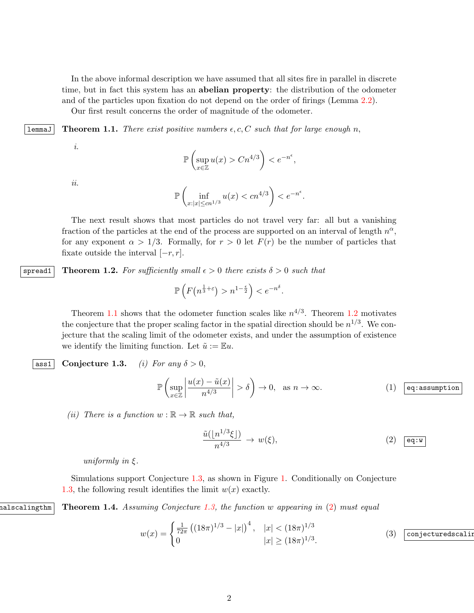In the above informal description we have assumed that all sites fire in parallel in discrete time, but in fact this system has an abelian property: the distribution of the odometer and of the particles upon fixation do not depend on the order of firings (Lemma [2.2\)](#page-7-0).

<span id="page-1-0"></span>Our first result concerns the order of magnitude of the odometer.

**lemmaJ** Theorem 1.1. There exist positive numbers  $\epsilon, c, C$  such that for large enough n,

i.

$$
\mathbb{P}\left(\sup_{x\in\mathbb{Z}}u(x)>Cn^{4/3}\right)
$$

ii.

$$
\mathbb{P}\left(\inf_{x:|x| \le cn^{1/3}} u(x) < cn^{4/3}\right) < e^{-n^{\epsilon}}.
$$

The next result shows that most particles do not travel very far: all but a vanishing fraction of the particles at the end of the process are supported on an interval of length  $n^{\alpha}$ , for any exponent  $\alpha > 1/3$ . Formally, for  $r > 0$  let  $F(r)$  be the number of particles that fixate outside the interval  $[-r, r]$ .

<span id="page-1-1"></span>spread1 Theorem 1.2. For sufficiently small  $\epsilon > 0$  there exists  $\delta > 0$  such that

$$
\mathbb{P}\left(F\left(n^{\frac{1}{3}+\varepsilon}\right) > n^{1-\frac{\varepsilon}{2}}\right) < e^{-n^{\delta}}.
$$

Theorem [1.1](#page-1-0) shows that the odometer function scales like  $n^{4/3}$ . Theorem [1.2](#page-1-1) motivates the conjecture that the proper scaling factor in the spatial direction should be  $n^{1/3}$ . We conjecture that the scaling limit of the odometer exists, and under the assumption of existence we identify the limiting function. Let  $\tilde{u} := \mathbb{E}u$ .

ass1 Conjecture 1.3. (i) For any  $\delta > 0$ ,

$$
\mathbb{P}\left(\sup_{x\in\mathbb{Z}}\left|\frac{u(x)-\tilde{u}(x)}{n^{4/3}}\right|>\delta\right)\to 0,\text{ as }n\to\infty.\tag{1} \quad \text{[eq:assumption]}
$$

(ii) There is a function  $w : \mathbb{R} \to \mathbb{R}$  such that,

<span id="page-1-2"></span>
$$
\frac{\tilde{u}(\lfloor n^{1/3}\xi \rfloor)}{n^{4/3}} \to w(\xi),\tag{2} \boxed{\text{eq:w}}
$$

uniformly in  $\xi$ .

<span id="page-1-3"></span>Simulations support Conjecture [1.3,](#page-0-0) as shown in Figure [1.](#page-2-0) Conditionally on Conjecture [1.3,](#page-0-0) the following result identifies the limit  $w(x)$  exactly.

nalscalingthm Theorem 1.4. Assuming Conjecture [1.3,](#page-0-0) the function w appearing in [\(2\)](#page-1-2) must equal

$$
w(x) = \begin{cases} \frac{1}{72\pi} \left( (18\pi)^{1/3} - |x| \right)^4, & |x| < (18\pi)^{1/3} \\ 0 & |x| \ge (18\pi)^{1/3}. \end{cases}
$$
(3) conjecturedscalar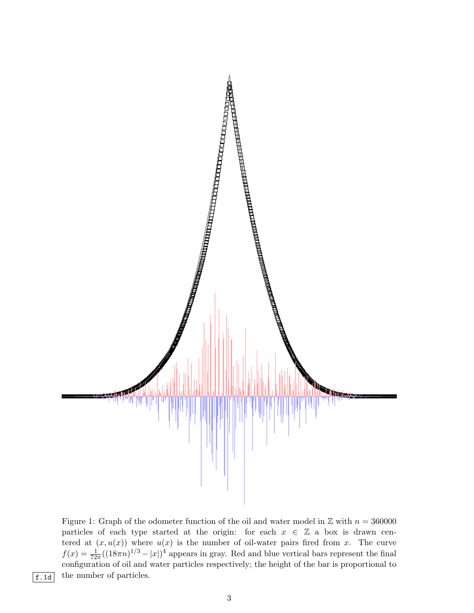

<span id="page-2-0"></span>Figure 1: Graph of the odometer function of the oil and water model in  $\mathbb Z$  with  $n = 360000$ particles of each type started at the origin: for each  $x \in \mathbb{Z}$  a box is drawn centered at  $(x, u(x))$  where  $u(x)$  is the number of oil-water pairs fired from x. The curve  $f(x) = \frac{1}{72\pi}((18\pi n)^{1/3} - |x|)^4$  appears in gray. Red and blue vertical bars represent the final configuration of oil and water particles respectively; the height of the bar is proportional to  $\boxed{\mathbf{f.1d}}$  the number of particles.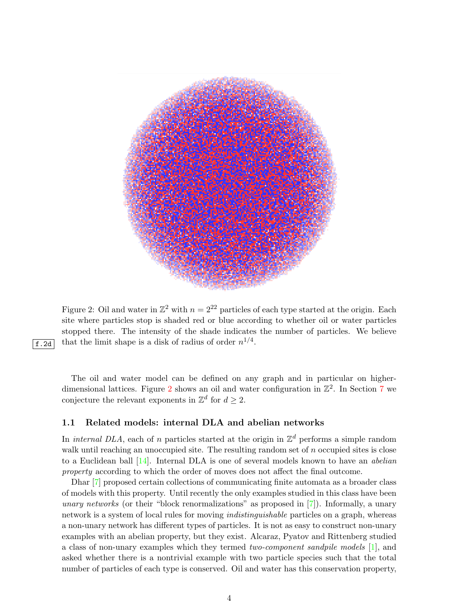

<span id="page-3-0"></span>Figure 2: Oil and water in  $\mathbb{Z}^2$  with  $n = 2^{22}$  particles of each type started at the origin. Each site where particles stop is shaded red or blue according to whether oil or water particles stopped there. The intensity of the shade indicates the number of particles. We believe  $\overline{f.2d}$  that the limit shape is a disk of radius of order  $n^{1/4}$ .

The oil and water model can be defined on any graph and in particular on higher-dimensional lattices. Figure [2](#page-3-0) shows an oil and water configuration in  $\mathbb{Z}^2$ . In Section [7](#page-39-0) we conjecture the relevant exponents in  $\mathbb{Z}^d$  for  $d \geq 2$ .

### 1.1 Related models: internal DLA and abelian networks

In *internal DLA*, each of n particles started at the origin in  $\mathbb{Z}^d$  performs a simple random walk until reaching an unoccupied site. The resulting random set of  $n$  occupied sites is close to a Euclidean ball [\[14\]](#page-44-0). Internal DLA is one of several models known to have an abelian property according to which the order of moves does not affect the final outcome.

Dhar [\[7\]](#page-44-1) proposed certain collections of communicating finite automata as a broader class of models with this property. Until recently the only examples studied in this class have been unary networks (or their "block renormalizations" as proposed in [\[7\]](#page-44-1)). Informally, a unary network is a system of local rules for moving *indistinguishable* particles on a graph, whereas a non-unary network has different types of particles. It is not as easy to construct non-unary examples with an abelian property, but they exist. Alcaraz, Pyatov and Rittenberg studied a class of non-unary examples which they termed two-component sandpile models [\[1\]](#page-44-2), and asked whether there is a nontrivial example with two particle species such that the total number of particles of each type is conserved. Oil and water has this conservation property,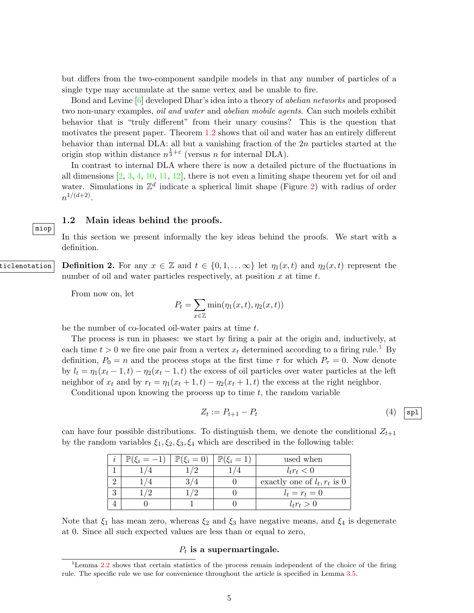but differs from the two-component sandpile models in that any number of particles of a single type may accumulate at the same vertex and be unable to fire.

Bond and Levine [\[6\]](#page-44-3) developed Dhar's idea into a theory of abelian networks and proposed two non-unary examples, *oil and water* and *abelian mobile agents*. Can such models exhibit behavior that is "truly different" from their unary cousins? This is the question that motivates the present paper. Theorem [1.2](#page-1-1) shows that oil and water has an entirely different behavior than internal DLA: all but a vanishing fraction of the 2n particles started at the origin stop within distance  $n^{\frac{1}{3}+\varepsilon}$  (versus *n* for internal DLA).

In contrast to internal DLA where there is now a detailed picture of the fluctuations in all dimensions  $\left[2, 3, 4, 10, 11, 12\right]$  $\left[2, 3, 4, 10, 11, 12\right]$  $\left[2, 3, 4, 10, 11, 12\right]$  $\left[2, 3, 4, 10, 11, 12\right]$  $\left[2, 3, 4, 10, 11, 12\right]$  $\left[2, 3, 4, 10, 11, 12\right]$  $\left[2, 3, 4, 10, 11, 12\right]$  $\left[2, 3, 4, 10, 11, 12\right]$  $\left[2, 3, 4, 10, 11, 12\right]$  $\left[2, 3, 4, 10, 11, 12\right]$  $\left[2, 3, 4, 10, 11, 12\right]$ , there is not even a limiting shape theorem yet for oil and water. Simulations in  $\mathbb{Z}^d$  indicate a spherical limit shape (Figure [2\)](#page-3-0) with radius of order  $n^{1/(d+2)}$ .

### <span id="page-4-2"></span>1.2 Main ideas behind the proofs.

<span id="page-4-1"></span>In this section we present informally the key ideas behind the proofs. We start with a definition.

ticlenotation Definition 2. For any  $x \in \mathbb{Z}$  and  $t \in \{0,1,\ldots\infty\}$  let  $\eta_1(x,t)$  and  $\eta_2(x,t)$  represent the number of oil and water particles respectively, at position  $x$  at time  $t$ .

From now on, let

miop

$$
P_t = \sum_{x \in \mathbb{Z}} \min(\eta_1(x, t), \eta_2(x, t))
$$

be the number of co-located oil-water pairs at time t.

The process is run in phases: we start by firing a pair at the origin and, inductively, at each time  $t > 0$  we fire one pair from a vertex  $x_t$  determined according to a firing rule.<sup>[1](#page-4-0)</sup> By definition,  $P_0 = n$  and the process stops at the first time  $\tau$  for which  $P_\tau = 0$ . Now denote by  $l_t = \eta_1(x_t - 1, t) - \eta_2(x_t - 1, t)$  the excess of oil particles over water particles at the left neighbor of  $x_t$  and by  $r_t = \eta_1(x_t + 1, t) - \eta_2(x_t + 1, t)$  the excess at the right neighbor.

Conditional upon knowing the process up to time  $t$ , the random variable

<span id="page-4-3"></span>
$$
Z_t := P_{t+1} - P_t \tag{4} \quad | \text{spl}
$$

can have four possible distributions. To distinguish them, we denote the conditional  $Z_{t+1}$ by the random variables  $\xi_1, \xi_2, \xi_3, \xi_4$  which are described in the following table:

|  | $\mathbb{P}(\xi_i=0)$ | $=$ $\top$ | used when                      |
|--|-----------------------|------------|--------------------------------|
|  |                       |            | $l_t r_t < 0$                  |
|  |                       |            | exactly one of $l_t, r_t$ is 0 |
|  |                       |            | $l_t = r_t = 0$                |
|  |                       |            | $l_t r_t > 0$                  |

Note that  $\xi_1$  has mean zero, whereas  $\xi_2$  and  $\xi_3$  have negative means, and  $\xi_4$  is degenerate at 0. Since all such expected values are less than or equal to zero,

#### $P_t$  is a supermartingale.

<span id="page-4-0"></span><sup>&</sup>lt;sup>1</sup>Lemma [2.2](#page-7-0) shows that certain statistics of the process remain independent of the choice of the firing rule. The specific rule we use for convenience throughout the article is specified in Lemma [3.5.](#page-10-0)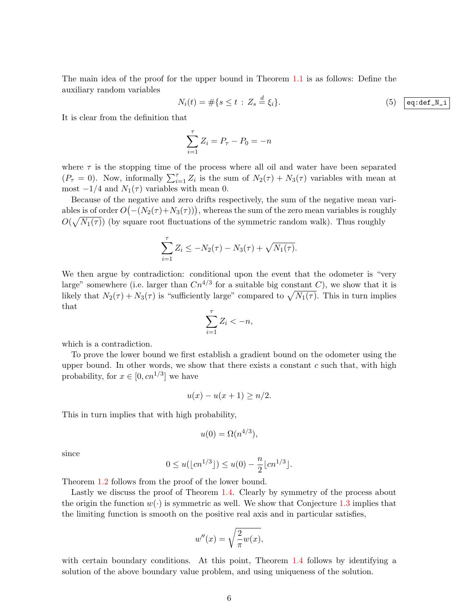The main idea of the proof for the upper bound in Theorem [1.1](#page-1-0) is as follows: Define the auxiliary random variables

<span id="page-5-0"></span>
$$
N_i(t) = \# \{ s \le t : Z_s \stackrel{d}{=} \xi_i \}. \tag{5} \quad \boxed{\text{eq:def\_N_i}}
$$

It is clear from the definition that

$$
\sum_{i=1}^{\tau} Z_i = P_{\tau} - P_0 = -n
$$

where  $\tau$  is the stopping time of the process where all oil and water have been separated  $(P_{\tau} = 0)$ . Now, informally  $\sum_{i=1}^{\tau} Z_i$  is the sum of  $N_2(\tau) + N_3(\tau)$  variables with mean at most  $-1/4$  and  $N_1(\tau)$  variables with mean 0.

Because of the negative and zero drifts respectively, the sum of the negative mean variables is of order  $O(-(N_2(\tau)+N_3(\tau)))$ , whereas the sum of the zero mean variables is roughly  $O(\sqrt{N_1(\tau)})$  (by square root fluctuations of the symmetric random walk). Thus roughly

$$
\sum_{i=1}^{\tau} Z_i \le -N_2(\tau) - N_3(\tau) + \sqrt{N_1(\tau)}.
$$

We then argue by contradiction: conditional upon the event that the odometer is "very large" somewhere (i.e. larger than  $Cn^{4/3}$  for a suitable big constant C), we show that it is likely that  $N_2(\tau) + N_3(\tau)$  is "sufficiently large" compared to  $\sqrt{N_1(\tau)}$ . This in turn implies that

$$
\sum_{i=1}^{\tau} Z_i < -n,
$$

which is a contradiction.

To prove the lower bound we first establish a gradient bound on the odometer using the upper bound. In other words, we show that there exists a constant  $c$  such that, with high probability, for  $x \in [0, cn^{1/3}]$  we have

$$
u(x) - u(x+1) \ge n/2.
$$

This in turn implies that with high probability,

$$
u(0) = \Omega(n^{4/3}),
$$

since

$$
0 \le u(\lfloor cn^{1/3} \rfloor) \le u(0) - \frac{n}{2} \lfloor cn^{1/3} \rfloor.
$$

Theorem [1.2](#page-1-1) follows from the proof of the lower bound.

Lastly we discuss the proof of Theorem [1.4.](#page-1-3) Clearly by symmetry of the process about the origin the function  $w(\cdot)$  is symmetric as well. We show that Conjecture [1.3](#page-0-0) implies that the limiting function is smooth on the positive real axis and in particular satisfies,

$$
w''(x) = \sqrt{\frac{2}{\pi}w(x)},
$$

with certain boundary conditions. At this point, Theorem [1.4](#page-1-3) follows by identifying a solution of the above boundary value problem, and using uniqueness of the solution.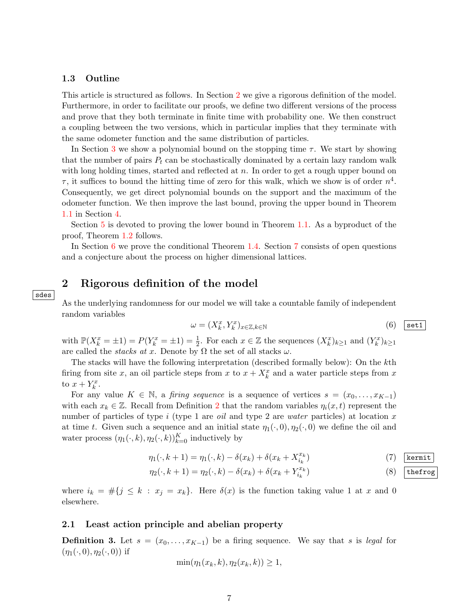### 1.3 Outline

This article is structured as follows. In Section [2](#page-6-0) we give a rigorous definition of the model. Furthermore, in order to facilitate our proofs, we define two different versions of the process and prove that they both terminate in finite time with probability one. We then construct a coupling between the two versions, which in particular implies that they terminate with the same odometer function and the same distribution of particles.

In Section [3](#page-7-1) we show a polynomial bound on the stopping time  $\tau$ . We start by showing that the number of pairs  $P_t$  can be stochastically dominated by a certain lazy random walk with long holding times, started and reflected at  $n$ . In order to get a rough upper bound on  $\tau$ , it suffices to bound the hitting time of zero for this walk, which we show is of order  $n^4$ . Consequently, we get direct polynomial bounds on the support and the maximum of the odometer function. We then improve the last bound, proving the upper bound in Theorem [1.1](#page-1-0) in Section [4.](#page-11-0)

Section [5](#page-24-0) is devoted to proving the lower bound in Theorem [1.1.](#page-1-0) As a byproduct of the proof, Theorem [1.2](#page-1-1) follows.

In Section [6](#page-30-0) we prove the conditional Theorem [1.4.](#page-1-3) Section [7](#page-39-0) consists of open questions and a conjecture about the process on higher dimensional lattices.

# <span id="page-6-0"></span>2 Rigorous definition of the model

#### sdes

As the underlying randomness for our model we will take a countable family of independent random variables

<span id="page-6-1"></span>
$$
\omega = (X_k^x, Y_k^x)_{x \in \mathbb{Z}, k \in \mathbb{N}} \tag{6}
$$

with  $\mathbb{P}(X_k^x = \pm 1) = P(Y_k^x = \pm 1) = \frac{1}{2}$ . For each  $x \in \mathbb{Z}$  the sequences  $(X_k^x)_{k \geq 1}$  and  $(Y_k^x)_{k \geq 1}$ are called the *stacks at x*. Denote by  $\Omega$  the set of all stacks  $\omega$ .

The stacks will have the following interpretation (described formally below): On the kth firing from site x, an oil particle steps from x to  $x + X_k^x$  and a water particle steps from x to  $x + Y_k^x$ .

For any value  $K \in \mathbb{N}$ , a firing sequence is a sequence of vertices  $s = (x_0, \ldots, x_{K-1})$ with each  $x_k \in \mathbb{Z}$ . Recall from Definition [2](#page-4-1) that the random variables  $\eta_i(x, t)$  represent the number of particles of type i (type 1 are *oil* and type 2 are *water* particles) at location  $x$ at time t. Given such a sequence and an initial state  $\eta_1(\cdot,0), \eta_2(\cdot,0)$  we define the oil and water process  $(\eta_1(\cdot, k), \eta_2(\cdot, k))_{k=0}^K$  inductively by

$$
\eta_1(\cdot, k+1) = \eta_1(\cdot, k) - \delta(x_k) + \delta(x_k + X_{i_k}^{x_k})
$$
\n(7) kermit

$$
\eta_2(\cdot, k+1) = \eta_2(\cdot, k) - \delta(x_k) + \delta(x_k + Y_{i_k}^{x_k})
$$
\n(8) [there

where  $i_k = #\{j \leq k : x_j = x_k\}$ . Here  $\delta(x)$  is the function taking value 1 at x and 0 elsewhere.

#### 2.1 Least action principle and abelian property

**Definition 3.** Let  $s = (x_0, \ldots, x_{K-1})$  be a firing sequence. We say that s is legal for  $(\eta_1(\cdot, 0), \eta_2(\cdot, 0))$  if

$$
\min(\eta_1(x_k,k),\eta_2(x_k,k)) \ge 1,
$$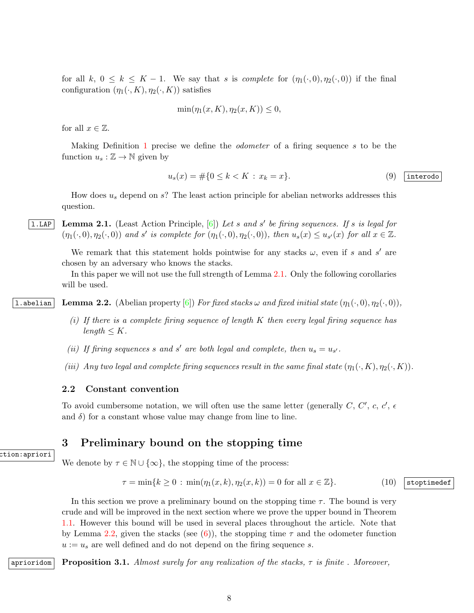for all k,  $0 \leq k \leq K - 1$ . We say that s is complete for  $(\eta_1(\cdot, 0), \eta_2(\cdot, 0))$  if the final configuration  $(\eta_1(\cdot, K), \eta_2(\cdot, K))$  satisfies

$$
\min(\eta_1(x, K), \eta_2(x, K)) \le 0,
$$

for all  $x \in \mathbb{Z}$ .

Making Definition [1](#page-0-1) precise we define the *odometer* of a firing sequence s to be the function  $u_s : \mathbb{Z} \to \mathbb{N}$  given by

$$
u_s(x) = \#\{0 \le k < K \,:\, x_k = x\}.\tag{9}
$$

<span id="page-7-2"></span>How does  $u_s$  depend on s? The least action principle for abelian networks addresses this question.

**1.LAP** Lemma 2.1. (Least Action Principle, [\[6\]](#page-44-3)) Let s and s' be firing sequences. If s is legal for  $(\eta_1(\cdot,0),\eta_2(\cdot,0))$  and s' is complete for  $(\eta_1(\cdot,0),\eta_2(\cdot,0))$ , then  $u_s(x) \leq u_{s'}(x)$  for all  $x \in \mathbb{Z}$ .

We remark that this statement holds pointwise for any stacks  $\omega$ , even if s and s' are chosen by an adversary who knows the stacks.

<span id="page-7-0"></span>In this paper we will not use the full strength of Lemma [2.1.](#page-7-2) Only the following corollaries will be used.

**1.**abelian Lemma 2.2. (Abelian property [\[6\]](#page-44-3)) For fixed stacks  $\omega$  and fixed initial state  $(\eta_1(\cdot,0), \eta_2(\cdot,0))$ ,

- (i) If there is a complete firing sequence of length K then every legal firing sequence has  $length \leq K$ .
- (ii) If firing sequences s and s' are both legal and complete, then  $u_s = u_{s'}$ .
- (iii) Any two legal and complete firing sequences result in the same final state  $(\eta_1(\cdot, K), \eta_2(\cdot, K))$ .

#### 2.2 Constant convention

To avoid cumbersome notation, we will often use the same letter (generally C, C', c, c',  $\epsilon$ and  $\delta$ ) for a constant whose value may change from line to line.

# <span id="page-7-1"></span>3 Preliminary bound on the stopping time

ction:apriori We denote by  $\tau \in \mathbb{N} \cup \{\infty\}$ , the stopping time of the process:

<span id="page-7-4"></span>
$$
\tau = \min\{k \ge 0 : \min(\eta_1(x, k), \eta_2(x, k)) = 0 \text{ for all } x \in \mathbb{Z}\}.
$$
 (10) [stoptimedef]

In this section we prove a preliminary bound on the stopping time  $\tau$ . The bound is very crude and will be improved in the next section where we prove the upper bound in Theorem [1.1.](#page-1-0) However this bound will be used in several places throughout the article. Note that by Lemma [2.2,](#page-7-0) given the stacks (see [\(6\)](#page-6-1)), the stopping time  $\tau$  and the odometer function  $u := u_s$  are well defined and do not depend on the firing sequence s.

<span id="page-7-3"></span>aprioridom Proposition 3.1. Almost surely for any realization of the stacks,  $\tau$  is finite . Moreover,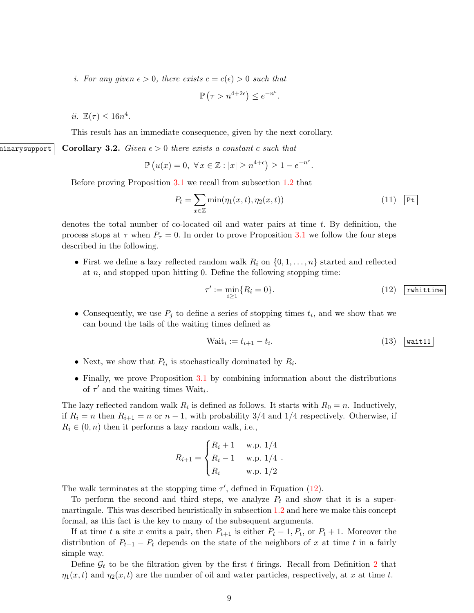*i.* For any given  $\epsilon > 0$ , there exists  $c = c(\epsilon) > 0$  such that

 $\mathbb{P}\left(\tau > n^{4+2\epsilon}\right) \leq e^{-n^c}.$ 

ii.  $\mathbb{E}(\tau) \leq 16n^4$ .

<span id="page-8-2"></span>This result has an immediate consequence, given by the next corollary.

minarysupport Corollary 3.2. Given  $\epsilon > 0$  there exists a constant c such that

$$
\mathbb{P}\left(u(x)=0, \ \forall x\in\mathbb{Z}: |x|\geq n^{4+\epsilon}\right)\geq 1-e^{-n^c}.
$$

Before proving Proposition [3.1](#page-7-3) we recall from subsection [1.2](#page-4-2) that

<span id="page-8-1"></span>
$$
P_t = \sum_{x \in \mathbb{Z}} \min(\eta_1(x, t), \eta_2(x, t)) \tag{11}
$$

denotes the total number of co-located oil and water pairs at time  $t$ . By definition, the process stops at  $\tau$  when  $P_{\tau} = 0$ . In order to prove Proposition [3.1](#page-7-3) we follow the four steps described in the following.

• First we define a lazy reflected random walk  $R_i$  on  $\{0, 1, \ldots, n\}$  started and reflected at  $n$ , and stopped upon hitting 0. Define the following stopping time:

<span id="page-8-0"></span>
$$
\tau' := \min_{i \ge 1} \{ R_i = 0 \}. \tag{12}
$$

• Consequently, we use  $P_j$  to define a series of stopping times  $t_i$ , and we show that we can bound the tails of the waiting times defined as

$$
\text{Wait}_i := t_{i+1} - t_i. \tag{13} \quad \text{wait11}
$$

- Next, we show that  $P_{t_i}$  is stochastically dominated by  $R_i$ .
- Finally, we prove Proposition [3.1](#page-7-3) by combining information about the distributions of  $\tau'$  and the waiting times Wait<sub>i</sub>.

The lazy reflected random walk  $R_i$  is defined as follows. It starts with  $R_0 = n$ . Inductively, if  $R_i = n$  then  $R_{i+1} = n$  or  $n-1$ , with probability 3/4 and 1/4 respectively. Otherwise, if  $R_i \in (0, n)$  then it performs a lazy random walk, i.e.,

$$
R_{i+1} = \begin{cases} R_i + 1 & \text{w.p. } 1/4 \\ R_i - 1 & \text{w.p. } 1/4 \\ R_i & \text{w.p. } 1/2 \end{cases}
$$

The walk terminates at the stopping time  $\tau'$ , defined in Equation [\(12\)](#page-8-0).

To perform the second and third steps, we analyze  $P_t$  and show that it is a supermartingale. This was described heuristically in subsection [1.2](#page-4-2) and here we make this concept formal, as this fact is the key to many of the subsequent arguments.

If at time t a site x emits a pair, then  $P_{t+1}$  is either  $P_t - 1, P_t$ , or  $P_t + 1$ . Moreover the distribution of  $P_{t+1} - P_t$  depends on the state of the neighbors of x at time t in a fairly simple way.

Define  $\mathcal{G}_t$  to be the filtration given by the first t firings. Recall from Definition [2](#page-4-1) that  $\eta_1(x, t)$  and  $\eta_2(x, t)$  are the number of oil and water particles, respectively, at x at time t.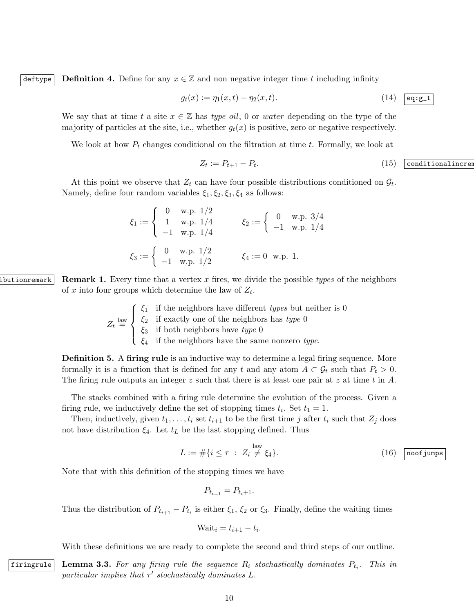deftype Definition 4. Define for any  $x \in \mathbb{Z}$  and non negative integer time t including infinity

<span id="page-9-3"></span>
$$
g_t(x) := \eta_1(x, t) - \eta_2(x, t). \tag{14} \quad \boxed{\text{eq:g-t}}
$$

We say that at time t a site  $x \in \mathbb{Z}$  has type oil, 0 or water depending on the type of the majority of particles at the site, i.e., whether  $g_t(x)$  is positive, zero or negative respectively.

We look at how  $P_t$  changes conditional on the filtration at time t. Formally, we look at

$$
Z_t := P_{t+1} - P_t.
$$
\n(15)  $\boxed{\text{conditional}}\text{increment}$ 

At this point we observe that  $Z_t$  can have four possible distributions conditioned on  $\mathcal{G}_t$ . Namely, define four random variables  $\xi_1, \xi_2, \xi_3, \xi_4$  as follows:

> $\xi_1 :=$  $\sqrt{ }$ J  $\mathcal{L}$ 0 w.p. 1/2 1 w.p. 1/4 −1 w.p. 1/4  $\xi_2 := \begin{cases} 0 & \text{w.p. } 3/4 \\ 1 & \text{w.p. } 1/4 \end{cases}$ −1 w.p. 1/4  $\xi_3 := \begin{cases} 0 & \text{w.p. } 1/2 \\ 1 & \text{w.p. } 1/2 \end{cases}$  $\zeta_4 := 0$  w.p. 1.<br>-1 w.p. 1/2  $\xi_4 := 0$  w.p. 1.

ibutionremark Remark 1. Every time that a vertex x fires, we divide the possible types of the neighbors of x into four groups which determine the law of  $Z_t$ .

> <span id="page-9-2"></span> $Z_t \stackrel{\text{law}}{=}$  $\sqrt{ }$  $\int$  $\overline{\mathcal{L}}$  $\xi_1$  if the neighbors have different types but neither is 0  $\xi_2$  if exactly one of the neighbors has type 0  $\xi_3$  if both neighbors have type 0  $\xi_4$  if the neighbors have the same nonzero type.

Definition 5. A firing rule is an inductive way to determine a legal firing sequence. More formally it is a function that is defined for any t and any atom  $A \subset \mathcal{G}_t$  such that  $P_t > 0$ . The firing rule outputs an integer  $z$  such that there is at least one pair at  $z$  at time  $t$  in  $A$ .

The stacks combined with a firing rule determine the evolution of the process. Given a firing rule, we inductively define the set of stopping times  $t_i$ . Set  $t_1 = 1$ .

Then, inductively, given  $t_1, \ldots, t_i$  set  $t_{i+1}$  to be the first time j after  $t_i$  such that  $Z_j$  does not have distribution  $\xi_4$ . Let  $t_L$  be the last stopping defined. Thus

<span id="page-9-0"></span>
$$
L := #\{i \le \tau \ : \ Z_i \neq \xi_4\}.
$$
 (16)  $\boxed{\text{noofjumps}}$ 

Note that with this definition of the stopping times we have

$$
P_{t_{i+1}} = P_{t_i+1}.
$$

Thus the distribution of  $P_{t_{i+1}} - P_{t_i}$  is either  $\xi_1, \xi_2$  or  $\xi_3$ . Finally, define the waiting times

$$
Wait_i = t_{i+1} - t_i.
$$

<span id="page-9-1"></span>With these definitions we are ready to complete the second and third steps of our outline.

firingrule the mean  $3.3.$  For any firing rule the sequence  $R_i$  stochastically dominates  $P_{t_i}.$  This in particular implies that  $\tau'$  stochastically dominates L.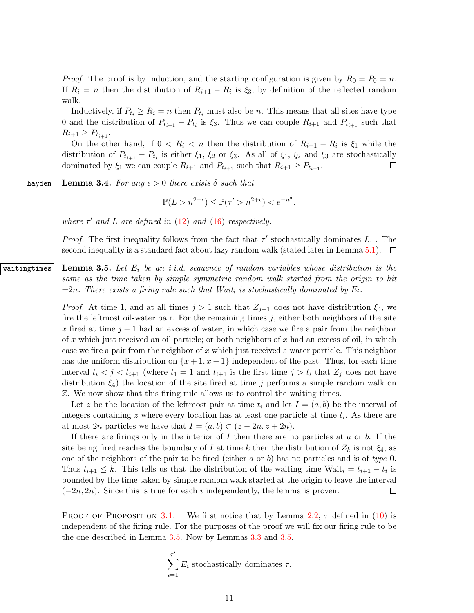*Proof.* The proof is by induction, and the starting configuration is given by  $R_0 = P_0 = n$ . If  $R_i = n$  then the distribution of  $R_{i+1} - R_i$  is  $\xi_3$ , by definition of the reflected random walk.

Inductively, if  $P_{t_i} \ge R_i = n$  then  $P_{t_i}$  must also be n. This means that all sites have type 0 and the distribution of  $P_{t_{i+1}} - P_{t_i}$  is  $\xi_3$ . Thus we can couple  $R_{i+1}$  and  $P_{t_{i+1}}$  such that  $R_{i+1} \geq P_{t_{i+1}}$ .

<span id="page-10-1"></span>On the other hand, if  $0 < R_i < n$  then the distribution of  $R_{i+1} - R_i$  is  $\xi_1$  while the distribution of  $P_{t_{i+1}} - P_{t_i}$  is either  $\xi_1$ ,  $\xi_2$  or  $\xi_3$ . As all of  $\xi_1$ ,  $\xi_2$  and  $\xi_3$  are stochastically dominated by  $\xi_1$  we can couple  $R_{i+1}$  and  $P_{t_{i+1}}$  such that  $R_{i+1} \geq P_{t_{i+1}}$ .  $\Box$ 

hayden Lemma 3.4. For any  $\epsilon > 0$  there exists  $\delta$  such that

$$
\mathbb{P}(L > n^{2+\epsilon}) \le \mathbb{P}(\tau' > n^{2+\epsilon}) < e^{-n^{\delta}}.
$$

where  $\tau'$  and L are defined in [\(12\)](#page-8-0) and [\(16\)](#page-9-0) respectively.

<span id="page-10-0"></span>*Proof.* The first inequality follows from the fact that  $\tau'$  stochastically dominates L. . The second inequality is a standard fact about lazy random walk (stated later in Lemma [5.1\)](#page-0-0).  $\Box$ 

waitingtimes Lemma 3.5. Let  $E_i$  be an i.i.d. sequence of random variables whose distribution is the same as the time taken by simple symmetric random walk started from the origin to hit  $\pm 2n$ . There exists a firing rule such that Wait<sub>i</sub> is stochastically dominated by  $E_i$ .

> *Proof.* At time 1, and at all times  $j > 1$  such that  $Z_{j-1}$  does not have distribution  $\xi_4$ , we fire the leftmost oil-water pair. For the remaining times  $j$ , either both neighbors of the site x fired at time  $j-1$  had an excess of water, in which case we fire a pair from the neighbor of x which just received an oil particle; or both neighbors of x had an excess of oil, in which case we fire a pair from the neighbor of  $x$  which just received a water particle. This neighbor has the uniform distribution on  $\{x+1, x-1\}$  independent of the past. Thus, for each time interval  $t_i < j < t_{i+1}$  (where  $t_1 = 1$  and  $t_{i+1}$  is the first time  $j > t_i$  that  $Z_j$  does not have distribution  $\xi_4$ ) the location of the site fired at time j performs a simple random walk on Z. We now show that this firing rule allows us to control the waiting times.

> Let z be the location of the leftmost pair at time  $t_i$  and let  $I = (a, b)$  be the interval of integers containing  $z$  where every location has at least one particle at time  $t_i$ . As there are at most 2n particles we have that  $I = (a, b) \subset (z - 2n, z + 2n)$ .

> If there are firings only in the interior of  $I$  then there are no particles at  $a$  or  $b$ . If the site being fired reaches the boundary of I at time k then the distribution of  $Z_k$  is not  $\xi_4$ , as one of the neighbors of the pair to be fired (either  $a$  or  $b$ ) has no particles and is of type 0. Thus  $t_{i+1} \leq k$ . This tells us that the distribution of the waiting time Wait<sub>i</sub> =  $t_{i+1} - t_i$  is bounded by the time taken by simple random walk started at the origin to leave the interval  $(-2n, 2n)$ . Since this is true for each i independently, the lemma is proven.  $\Box$

> PROOF OF PROPOSITION [3.1.](#page-7-3) We first notice that by Lemma [2.2,](#page-7-0)  $\tau$  defined in [\(10\)](#page-7-4) is independent of the firing rule. For the purposes of the proof we will fix our firing rule to be the one described in Lemma [3.5.](#page-10-0) Now by Lemmas [3.3](#page-9-1) and [3.5,](#page-10-0)

$$
\sum_{i=1}^{\tau'} E_i
$$
 stochastically dominates  $\tau$ .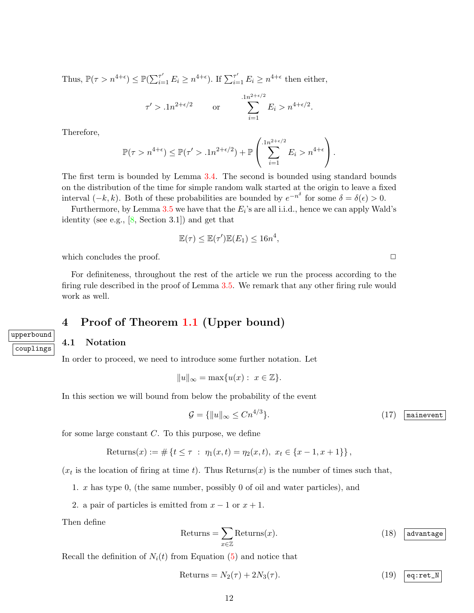Thus,  $\mathbb{P}(\tau > n^{4+\epsilon}) \leq \mathbb{P}(\sum_{i=1}^{\tau'} E_i \geq n^{4+\epsilon})$ . If  $\sum_{i=1}^{\tau'} E_i \geq n^{4+\epsilon}$  then either,

$$
\tau' > .1n^{2+\epsilon/2}
$$
 or  $\sum_{i=1}^{.1n^{2+\epsilon/2}} E_i > n^{4+\epsilon/2}$ .

Therefore,

$$
\mathbb{P}(\tau > n^{4+\epsilon}) \leq \mathbb{P}(\tau' > 0.1n^{2+\epsilon/2}) + \mathbb{P}\left(\sum_{i=1}^{2n^{2+\epsilon/2}} E_i > n^{4+\epsilon}\right).
$$

The first term is bounded by Lemma [3.4.](#page-10-1) The second is bounded using standard bounds on the distribution of the time for simple random walk started at the origin to leave a fixed interval  $(-k, k)$ . Both of these probabilities are bounded by  $e^{-n^{\delta}}$  for some  $\delta = \delta(\epsilon) > 0$ .

Furthermore, by Lemma  $3.5$  we have that the  $E_i$ 's are all i.i.d., hence we can apply Wald's identity (see e.g.,  $[8, \text{Section } 3.1]$  $[8, \text{Section } 3.1]$ ) and get that

$$
\mathbb{E}(\tau) \leq \mathbb{E}(\tau')\mathbb{E}(E_1) \leq 16n^4,
$$

which concludes the proof.  $\Box$ 

For definiteness, throughout the rest of the article we run the process according to the firing rule described in the proof of Lemma [3.5.](#page-10-0) We remark that any other firing rule would work as well.

# <span id="page-11-0"></span>4 Proof of Theorem [1.1](#page-1-0) (Upper bound)

#### 4.1 Notation

upperbound

couplings

In order to proceed, we need to introduce some further notation. Let

$$
||u||_{\infty} = \max\{u(x): x \in \mathbb{Z}\}.
$$

In this section we will bound from below the probability of the event

<span id="page-11-3"></span>
$$
\mathcal{G} = \{ \|u\|_{\infty} \le Cn^{4/3} \}. \tag{17}
$$
  $\boxed{\text{mainevent}}$ 

for some large constant  $C$ . To this purpose, we define

Returns
$$
(x) := \#\{t \leq \tau : \eta_1(x,t) = \eta_2(x,t), x_t \in \{x-1, x+1\}\},\
$$

 $(x_t)$  is the location of firing at time t). Thus Returns $(x)$  is the number of times such that,

1. x has type 0, (the same number, possibly 0 of oil and water particles), and

2. a pair of particles is emitted from  $x - 1$  or  $x + 1$ .

Then define

<span id="page-11-1"></span>
$$
Returns = \sum_{x \in \mathbb{Z}} Returns(x). \tag{18}
$$

Recall the definition of  $N_i(t)$  from Equation [\(5\)](#page-5-0) and notice that

<span id="page-11-2"></span>
$$
Returns = N_2(\tau) + 2N_3(\tau). \tag{19} \qquad \qquad (19)
$$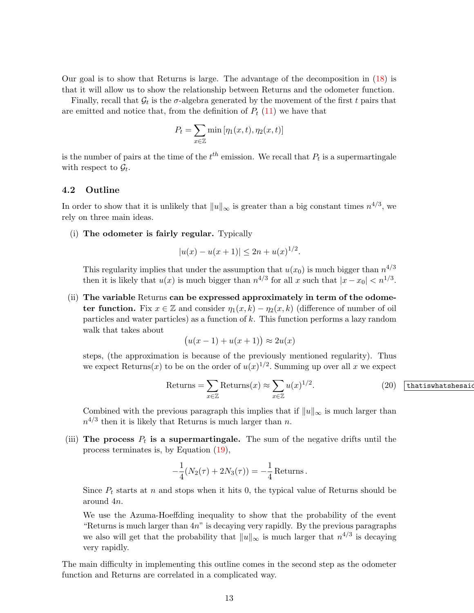Our goal is to show that Returns is large. The advantage of the decomposition in [\(18\)](#page-11-1) is that it will allow us to show the relationship between Returns and the odometer function.

Finally, recall that  $\mathcal{G}_t$  is the  $\sigma$ -algebra generated by the movement of the first t pairs that are emitted and notice that, from the definition of  $P_t$  [\(11\)](#page-8-1) we have that

$$
P_t = \sum_{x \in \mathbb{Z}} \min\left[\eta_1(x, t), \eta_2(x, t)\right]
$$

is the number of pairs at the time of the  $t^{th}$  emission. We recall that  $P_t$  is a supermartingale with respect to  $\mathcal{G}_t$ .

#### 4.2 Outline

In order to show that it is unlikely that  $||u||_{\infty}$  is greater than a big constant times  $n^{4/3}$ , we rely on three main ideas.

(i) The odometer is fairly regular. Typically

$$
|u(x) - u(x+1)| \le 2n + u(x)^{1/2}.
$$

This regularity implies that under the assumption that  $u(x_0)$  is much bigger than  $n^{4/3}$ then it is likely that  $u(x)$  is much bigger than  $n^{4/3}$  for all x such that  $|x-x_0| < n^{1/3}$ .

(ii) The variable Returns can be expressed approximately in term of the odometer function. Fix  $x \in \mathbb{Z}$  and consider  $\eta_1(x, k) - \eta_2(x, k)$  (difference of number of oil particles and water particles) as a function of k. This function performs a lazy random walk that takes about

$$
(u(x-1) + u(x+1)) \approx 2u(x)
$$

steps, (the approximation is because of the previously mentioned regularity). Thus we expect Returns $(x)$  to be on the order of  $u(x)^{1/2}$ . Summing up over all x we expect

Returns 
$$
=\sum_{x\in\mathbb{Z}} \text{Returns}(x) \approx \sum_{x\in\mathbb{Z}} u(x)^{1/2}.
$$
 (20) [that is what shesaic]

Combined with the previous paragraph this implies that if  $||u||_{\infty}$  is much larger than  $n^{4/3}$  then it is likely that Returns is much larger than n.

(iii) The process  $P_t$  is a supermartingale. The sum of the negative drifts until the process terminates is, by Equation [\(19\)](#page-11-2),

$$
-\frac{1}{4}(N_2(\tau) + 2N_3(\tau)) = -\frac{1}{4} \text{ Returns.}
$$

Since  $P_t$  starts at n and stops when it hits 0, the typical value of Returns should be around 4n.

We use the Azuma-Hoeffding inequality to show that the probability of the event "Returns is much larger than  $4n$ " is decaying very rapidly. By the previous paragraphs we also will get that the probability that  $||u||_{\infty}$  is much larger that  $n^{4/3}$  is decaying very rapidly.

The main difficulty in implementing this outline comes in the second step as the odometer function and Returns are correlated in a complicated way.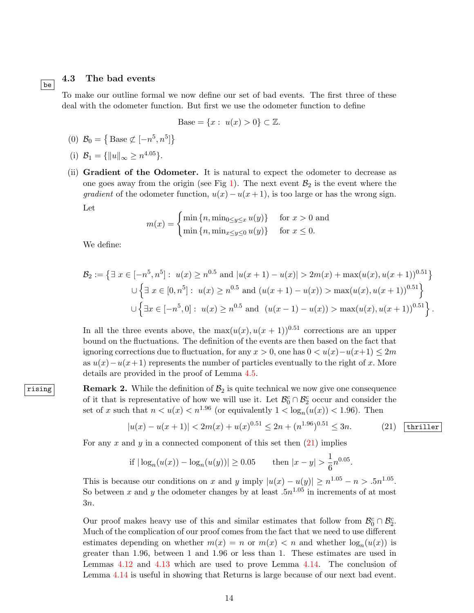#### <span id="page-13-1"></span>4.3 The bad events

 $|$  be  $|$ 

To make our outline formal we now define our set of bad events. The first three of these deal with the odometer function. But first we use the odometer function to define

$$
Base = \{x : u(x) > 0\} \subset \mathbb{Z}.
$$

- (0)  $B_0 = \{ \text{Base } \not\subset [-n^5, n^5] \}$
- (i)  $B_1 = {\|u\|_{\infty} \geq n^{4.05}}.$
- (ii) Gradient of the Odometer. It is natural to expect the odometer to decrease as one goes away from the origin (see Fig [1\)](#page-2-0). The next event  $\mathcal{B}_2$  is the event where the *gradient* of the odometer function,  $u(x) - u(x+1)$ , is too large or has the wrong sign. Let

$$
m(x) = \begin{cases} \min\left\{n, \min_{0 \le y \le x} u(y)\right\} & \text{for } x > 0 \text{ and} \\ \min\left\{n, \min_{x \le y \le 0} u(y)\right\} & \text{for } x \le 0. \end{cases}
$$

We define:

$$
\mathcal{B}_2 := \left\{ \exists \ x \in [-n^5, n^5] : \ u(x) \ge n^{0.5} \text{ and } |u(x+1) - u(x)| > 2m(x) + \max(u(x), u(x+1))^{0.51} \right\}
$$
  

$$
\cup \left\{ \exists \ x \in [0, n^5] : \ u(x) \ge n^{0.5} \text{ and } (u(x+1) - u(x)) > \max(u(x), u(x+1))^{0.51} \right\}
$$
  

$$
\cup \left\{ \exists x \in [-n^5, 0] : \ u(x) \ge n^{0.5} \text{ and } (u(x-1) - u(x)) > \max(u(x), u(x+1))^{0.51} \right\}.
$$

In all the three events above, the  $\max(u(x), u(x + 1))^{0.51}$  corrections are an upper bound on the fluctuations. The definition of the events are then based on the fact that ignoring corrections due to fluctuation, for any  $x > 0$ , one has  $0 < u(x)-u(x+1) \leq 2m$ as  $u(x)-u(x+1)$  represents the number of particles eventually to the right of x. More details are provided in the proof of Lemma [4.5.](#page-15-0)

rising Remark 2. While the definition of  $\mathcal{B}_2$  is quite technical we now give one consequence of it that is representative of how we will use it. Let  $\mathcal{B}_0^c \cap \mathcal{B}_2^c$  occur and consider the set of x such that  $n < u(x) < n^{1.96}$  (or equivalently  $1 < \log_n(u(x)) < 1.96$ ). Then

<span id="page-13-0"></span>
$$
|u(x) - u(x+1)| < 2m(x) + u(x)^{0.51} \le 2n + (n^{1.96})^{0.51} \le 3n. \tag{21} \quad \text{third.}
$$

For any x and y in a connected component of this set then  $(21)$  implies

if 
$$
|\log_n(u(x)) - \log_n(u(y))| \ge 0.05
$$
 then  $|x - y| > \frac{1}{6}n^{0.05}$ .

This is because our conditions on x and y imply  $|u(x) - u(y)| \ge n^{1.05} - n > .5n^{1.05}$ . So between x and y the odometer changes by at least  $.5n^{1.05}$  in increments of at most 3n.

Our proof makes heavy use of this and similar estimates that follow from  $\mathcal{B}_0^c \cap \mathcal{B}_2^c$ . Much of the complication of our proof comes from the fact that we need to use different estimates depending on whether  $m(x) = n$  or  $m(x) < n$  and whether  $log_n(u(x))$  is greater than 1.96, between 1 and 1.96 or less than 1. These estimates are used in Lemmas [4.12](#page-21-0) and [4.13](#page-21-1) which are used to prove Lemma [4.14.](#page-22-0) The conclusion of Lemma [4.14](#page-22-0) is useful in showing that Returns is large because of our next bad event.

<span id="page-13-2"></span>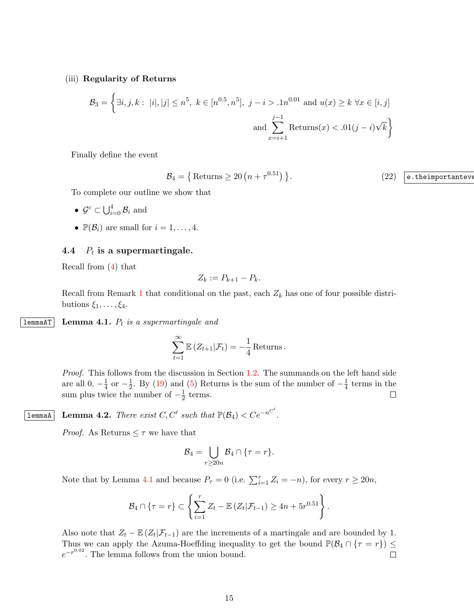#### (iii) Regularity of Returns

$$
\mathcal{B}_3 = \left\{ \exists i, j, k : |i|, |j| \le n^5, \ k \in [n^{0.5}, n^5], \ j - i > .1n^{0.01} \text{ and } u(x) \ge k \ \forall x \in [i, j] \right\}
$$

$$
\text{and } \sum_{x=i+1}^{j-1} \text{Returns}(x) < .01(j - i)\sqrt{k} \right\}
$$

Finally define the event

<span id="page-14-1"></span>
$$
\mathcal{B}_4 = \left\{ \text{Returns } \geq 20 \left( n + \tau^{0.51} \right) \right\}. \tag{22} \quad \boxed{\text{e.theimportanteve}}
$$

To complete our outline we show that

- $\mathcal{G}^c \subset \bigcup_{i=0}^4 \mathcal{B}_i$  and
- $\mathbb{P}(\mathcal{B}_i)$  are small for  $i = 1, \ldots, 4$ .

# 4.4  $P_t$  is a supermartingale.

Recall from [\(4\)](#page-4-3) that

$$
Z_k := P_{k+1} - P_k.
$$

<span id="page-14-0"></span>Recall from Remark [1](#page-9-2) that conditional on the past, each  $Z_k$  has one of four possible distributions  $\xi_1, \ldots, \xi_4$ .

 $\lfloor$  Lemma  $1.$   $P_t$  is a supermartingale and

$$
\sum_{t=1}^{\infty} \mathbb{E} (Z_{t+1} | \mathcal{F}_t) = -\frac{1}{4} \text{Returns.}
$$

Proof. This follows from the discussion in Section [1.2.](#page-4-2) The summands on the left hand side are all 0,  $-\frac{1}{4}$  $rac{1}{4}$  or  $-\frac{1}{2}$  $\frac{1}{2}$ . By [\(19\)](#page-11-2) and [\(5\)](#page-5-0) Returns is the sum of the number of  $-\frac{1}{4}$  $\frac{1}{4}$  terms in the sum plus twice the number of  $-\frac{1}{2}$  $\frac{1}{2}$  terms.  $\Box$ 

**lemmaA** Lemma 4.2. There exist  $C, C'$  such that  $\mathbb{P}(\mathcal{B}_4) < C e^{-n^{C'}}$ .

<span id="page-14-2"></span>*Proof.* As Returns  $\leq \tau$  we have that

$$
\mathcal{B}_4=\bigcup_{r\geq 20n}\mathcal{B}_4\cap\{\tau=r\}.
$$

Note that by Lemma [4.1](#page-14-0) and because  $P_{\tau} = 0$  (i.e.  $\sum_{i=1}^{r} Z_i = -n$ ), for every  $r \ge 20n$ ,

$$
\mathcal{B}_4 \cap \{\tau = r\} \subset \left\{ \sum_{i=1}^r Z_t - \mathbb{E}\left(Z_t | \mathcal{F}_{t-1}\right) \geq 4n + 5r^{0.51} \right\}.
$$

Also note that  $Z_t - \mathbb{E} (Z_t | \mathcal{F}_{t-1})$  are the increments of a martingale and are bounded by 1. Thus we can apply the Azuma-Hoeffding inequality to get the bound  $\mathbb{P}(\mathcal{B}_4 \cap {\tau = r}) \leq$  $e^{-r^{0.02}}$ . The lemma follows from the union bound.  $\Box$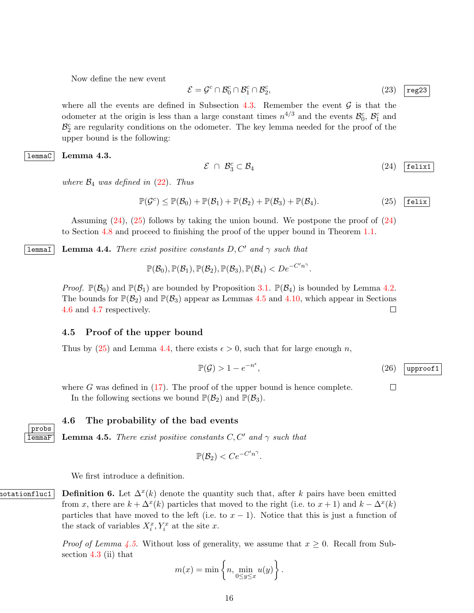Now define the new event

<span id="page-15-6"></span>
$$
\mathcal{E} = \mathcal{G}^c \cap \mathcal{B}_0^c \cap \mathcal{B}_1^c \cap \mathcal{B}_2^c,\tag{23} \boxed{\text{reg23}}
$$

where all the events are defined in Subsection [4.3.](#page-13-1) Remember the event  $\mathcal G$  is that the odometer at the origin is less than a large constant times  $n^{4/3}$  and the events  $\mathcal{B}_0^c$ ,  $\mathcal{B}_1^c$  and  $\mathcal{B}_2^c$  are regularity conditions on the odometer. The key lemma needed for the proof of the upper bound is the following:

lemmaC Lemma 4.3.

<span id="page-15-1"></span>
$$
\mathcal{E} \cap \mathcal{B}_3^c \subset \mathcal{B}_4 \tag{24}
$$

<span id="page-15-5"></span>where  $\mathcal{B}_4$  was defined in [\(22\)](#page-14-1). Thus

<span id="page-15-2"></span>
$$
\mathbb{P}(\mathcal{G}^c) \leq \mathbb{P}(\mathcal{B}_0) + \mathbb{P}(\mathcal{B}_1) + \mathbb{P}(\mathcal{B}_2) + \mathbb{P}(\mathcal{B}_3) + \mathbb{P}(\mathcal{B}_4). \tag{25} \boxed{\text{felix}}
$$

<span id="page-15-4"></span>Assuming  $(24)$ ,  $(25)$  follows by taking the union bound. We postpone the proof of  $(24)$ to Section [4.8](#page-19-0) and proceed to finishing the proof of the upper bound in Theorem [1.1.](#page-1-0)

**Lemma 4.4.** There exist positive constants  $D, C'$  and  $\gamma$  such that

$$
\mathbb{P}(\mathcal{B}_0), \mathbb{P}(\mathcal{B}_1), \mathbb{P}(\mathcal{B}_2), \mathbb{P}(\mathcal{B}_3), \mathbb{P}(\mathcal{B}_4) < D e^{-C'n^{\gamma}}.
$$

*Proof.*  $\mathbb{P}(\mathcal{B}_0)$  and  $\mathbb{P}(\mathcal{B}_1)$  are bounded by Proposition [3.1.](#page-7-3)  $\mathbb{P}(\mathcal{B}_4)$  is bounded by Lemma [4.2.](#page-14-2) The bounds for  $\mathbb{P}(\mathcal{B}_2)$  and  $\mathbb{P}(\mathcal{B}_3)$  appear as Lemmas [4.5](#page-15-0) and [4.10,](#page-18-0) which appear in Sections [4.6](#page-15-3) and [4.7](#page-16-0) respectively.  $\Box$ 

#### 4.5 Proof of the upper bound

Thus by [\(25\)](#page-15-2) and Lemma [4.4,](#page-15-4) there exists  $\epsilon > 0$ , such that for large enough n,

<span id="page-15-7"></span>
$$
\mathbb{P}(\mathcal{G}) > 1 - e^{-n^{\epsilon}},\tag{26}
$$

 $\Box$ 

where G was defined in  $(17)$ . The proof of the upper bound is hence complete. In the following sections we bound  $\mathbb{P}(\mathcal{B}_2)$  and  $\mathbb{P}(\mathcal{B}_3)$ .

#### <span id="page-15-3"></span><span id="page-15-0"></span>4.6 The probability of the bad events



**LemmaF** Lemma 4.5. There exist positive constants  $C, C'$  and  $\gamma$  such that

$$
\mathbb{P}(\mathcal{B}_2) < Ce^{-C'n^{\gamma}}
$$

.

<span id="page-15-8"></span>We first introduce a definition.

notationfluc1 Definition 6. Let  $\Delta^x(k)$  denote the quantity such that, after k pairs have been emitted from x, there are  $k + \Delta^x(k)$  particles that moved to the right (i.e. to  $x + 1$ ) and  $k - \Delta^x(k)$ particles that have moved to the left (i.e. to  $x - 1$ ). Notice that this is just a function of the stack of variables  $X_i^x, Y_i^x$  at the site x.

> *Proof of Lemma [4.5.](#page-15-0)* Without loss of generality, we assume that  $x \geq 0$ . Recall from Subsection [4.3](#page-13-1) (ii) that

$$
m(x) = \min\left\{n, \min_{0 \le y \le x} u(y)\right\}.
$$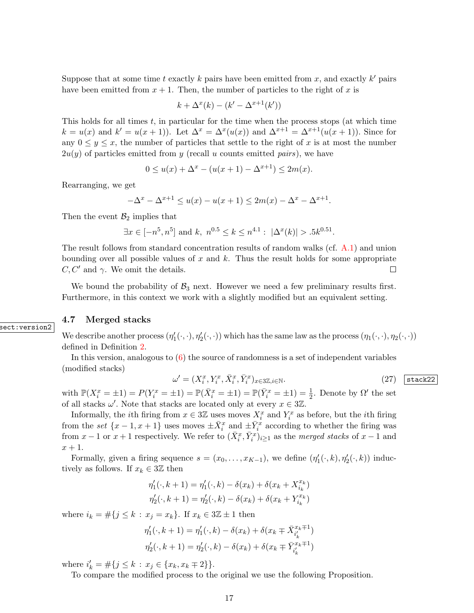Suppose that at some time t exactly k pairs have been emitted from x, and exactly  $k'$  pairs have been emitted from  $x + 1$ . Then, the number of particles to the right of x is

$$
k + \Delta^x(k) - (k' - \Delta^{x+1}(k'))
$$

This holds for all times  $t$ , in particular for the time when the process stops (at which time  $k = u(x)$  and  $k' = u(x+1)$ . Let  $\Delta^x = \Delta^x(u(x))$  and  $\Delta^{x+1} = \Delta^{x+1}(u(x+1))$ . Since for any  $0 \leq y \leq x$ , the number of particles that settle to the right of x is at most the number  $2u(y)$  of particles emitted from y (recall u counts emitted pairs), we have

$$
0 \le u(x) + \Delta^x - (u(x+1) - \Delta^{x+1}) \le 2m(x).
$$

Rearranging, we get

$$
-\Delta^x - \Delta^{x+1} \le u(x) - u(x+1) \le 2m(x) - \Delta^x - \Delta^{x+1}.
$$

Then the event  $\mathcal{B}_2$  implies that

$$
\exists x \in [-n^5, n^5]
$$
 and k,  $n^{0.5} \le k \le n^{4.1}$ :  $|\Delta^x(k)| > .5k^{0.51}$ .

The result follows from standard concentration results of random walks (cf. [A.1\)](#page-41-0) and union bounding over all possible values of x and k. Thus the result holds for some appropriate  $C, C'$  and  $\gamma$ . We omit the details.  $\Box$ 

We bound the probability of  $\mathcal{B}_3$  next. However we need a few preliminary results first. Furthermore, in this context we work with a slightly modified but an equivalent setting.

#### <span id="page-16-0"></span>4.7 Merged stacks

We describe another process  $(\eta'_1(\cdot,\cdot),\eta'_2(\cdot,\cdot))$  which has the same law as the process  $(\eta_1(\cdot,\cdot),\eta_2(\cdot,\cdot))$ defined in Definition [2.](#page-4-1)

In this version, analogous to  $(6)$  the source of randomness is a set of independent variables (modified stacks)

<span id="page-16-1"></span>
$$
\omega' = (X_i^x, Y_i^x, \bar{X}_i^x, \bar{Y}_i^x)_{x \in 3\mathbb{Z}, i \in \mathbb{N}}.\tag{27}
$$

with  $\mathbb{P}(X_i^x = \pm 1) = P(Y_i^x = \pm 1) = \mathbb{P}(\bar{X}_i^x = \pm 1) = \mathbb{P}(\bar{Y}_i^x = \pm 1) = \frac{1}{2}$ . Denote by  $\Omega'$  the set of all stacks  $\omega'$ . Note that stacks are located only at every  $x \in 3\mathbb{Z}$ .

Informally, the *i*<sup>th</sup> firing from  $x \in 3\mathbb{Z}$  uses moves  $X_i^x$  and  $Y_i^x$  as before, but the *i*<sup>th</sup> firing from the set  $\{x-1, x+1\}$  uses moves  $\pm \bar{X}_i^x$  and  $\pm \bar{Y}_i^x$  according to whether the firing was from  $x-1$  or  $x+1$  respectively. We refer to  $(\bar{X}_i^x, \bar{Y}_i^x)_{i\geq 1}$  as the merged stacks of  $x-1$  and  $x+1$ .

Formally, given a firing sequence  $s = (x_0, \ldots, x_{K-1})$ , we define  $(\eta'_1(\cdot, k), \eta'_2(\cdot, k))$  inductively as follows. If  $x_k \in 3\mathbb{Z}$  then

$$
\eta'_1(\cdot, k + 1) = \eta'_1(\cdot, k) - \delta(x_k) + \delta(x_k + X_{i_k}^{x_k})
$$
  

$$
\eta'_2(\cdot, k + 1) = \eta'_2(\cdot, k) - \delta(x_k) + \delta(x_k + Y_{i_k}^{x_k})
$$

where  $i_k = #\{j \leq k : x_j = x_k\}$ . If  $x_k \in 3\mathbb{Z} \pm 1$  then

$$
\eta'_1(\cdot, k+1) = \eta'_1(\cdot, k) - \delta(x_k) + \delta(x_k \mp \bar{X}_{i'_k}^{x_k+1})
$$
  

$$
\eta'_2(\cdot, k+1) = \eta'_2(\cdot, k) - \delta(x_k) + \delta(x_k \mp \bar{Y}_{i'_k}^{x_k+1})
$$

where  $i'_{k} = \#\{j \leq k : x_{j} \in \{x_{k}, x_{k} \mp 2\}\}.$ 

To compare the modified process to the original we use the following Proposition.

sect:version2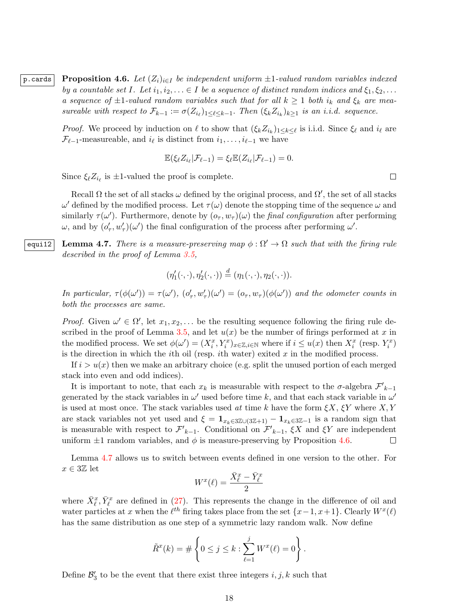|p.cards | Proposition 4.6. Let  $(Z_i)_{i\in I}$  be independent uniform  $\pm 1$ -valued random variables indexed by a countable set I. Let  $i_1, i_2, \ldots \in I$  be a sequence of distinct random indices and  $\xi_1, \xi_2, \ldots$ a sequence of  $\pm 1$ -valued random variables such that for all  $k \geq 1$  both  $i_k$  and  $\xi_k$  are measureable with respect to  $\mathcal{F}_{k-1} := \sigma(Z_{i_\ell})_{1 \leq \ell \leq k-1}$ . Then  $(\xi_k Z_{i_k})_{k \geq 1}$  is an i.i.d. sequence.

> *Proof.* We proceed by induction on  $\ell$  to show that  $(\xi_k Z_{i_k})_{1 \leq k \leq \ell}$  is i.i.d. Since  $\xi_{\ell}$  and  $i_{\ell}$  are  $\mathcal{F}_{\ell-1}$ -measureable, and  $i_{\ell}$  is distinct from  $i_1, \ldots, i_{\ell-1}$  we have

$$
\mathbb{E}(\xi_{\ell}Z_{i_{\ell}}|\mathcal{F}_{\ell-1})=\xi_{\ell}\mathbb{E}(Z_{i_{\ell}}|\mathcal{F}_{\ell-1})=0.
$$

Since  $\xi_{\ell} Z_{i_{\ell}}$  is  $\pm 1$ -valued the proof is complete.

Recall  $\Omega$  the set of all stacks  $\omega$  defined by the original process, and  $\Omega'$ , the set of all stacks  $ω'$  defined by the modified process. Let  $τ(ω)$  denote the stopping time of the sequence  $ω$  and similarly  $\tau(\omega')$ . Furthermore, denote by  $(o_\tau, w_\tau)(\omega)$  the *final configuration* after performing  $\omega$ , and by  $(o'_\tau, w'_\tau)(\omega')$  the final configuration of the process after performing  $\omega'$ .

<span id="page-17-1"></span>equi12 Lemma 4.7. There is a measure-preserving map  $\phi : \Omega' \to \Omega$  such that with the firing rule described in the proof of Lemma [3.5,](#page-10-0)

$$
(\eta'_1(\cdot,\cdot),\eta'_2(\cdot,\cdot))\stackrel{d}{=}(\eta_1(\cdot,\cdot),\eta_2(\cdot,\cdot)).
$$

In particular,  $\tau(\phi(\omega')) = \tau(\omega')$ ,  $(o'_\tau, w'_\tau)(\omega') = (o_\tau, w_\tau)(\phi(\omega'))$  and the odometer counts in both the processes are same.

*Proof.* Given  $\omega' \in \Omega'$ , let  $x_1, x_2, \ldots$  be the resulting sequence following the firing rule de-scribed in the proof of Lemma [3.5,](#page-10-0) and let  $u(x)$  be the number of firings performed at x in the modified process. We set  $\phi(\omega') = (X_i^x, Y_i^x)_{x \in \mathbb{Z}, i \in \mathbb{N}}$  where if  $i \leq u(x)$  then  $X_i^x$  (resp.  $Y_i^x$ ) is the direction in which the *i*th oil (resp. *i*th water) exited  $x$  in the modified process.

If  $i > u(x)$  then we make an arbitrary choice (e.g. split the unused portion of each merged stack into even and odd indices).

It is important to note, that each  $x_k$  is measurable with respect to the  $\sigma$ -algebra  $\mathcal{F}'_{k-1}$ generated by the stack variables in  $\omega'$  used before time k, and that each stack variable in  $\omega'$ is used at most once. The stack variables used at time k have the form  $\zeta X$ ,  $\zeta Y$  where  $X, Y$ are stack variables not yet used and  $\xi = \mathbf{1}_{x_k \in 3\mathbb{Z}\cup (3\mathbb{Z}+1)} - \mathbf{1}_{x_k \in 3\mathbb{Z}-1}$  is a random sign that is measurable with respect to  $\mathcal{F}'_{k-1}$ . Conditional on  $\mathcal{F}'_{k-1}$ ,  $\xi X$  and  $\xi Y$  are independent uniform  $\pm 1$  random variables, and  $\phi$  is measure-preserving by Proposition [4.6.](#page-17-0)  $\Box$ 

Lemma [4.7](#page-17-1) allows us to switch between events defined in one version to the other. For  $x \in 3\mathbb{Z}$  let

$$
W^x(\ell)=\frac{\bar{X}^x_\ell-\bar{Y}^x_\ell}{2}
$$

where  $\bar{X}_{\ell}^x$ ,  $\bar{Y}_{\ell}^x$  are defined in [\(27\)](#page-16-1). This represents the change in the difference of oil and water particles at x when the  $\ell^{th}$  firing takes place from the set  $\{x-1, x+1\}$ . Clearly  $W^x(\ell)$ has the same distribution as one step of a symmetric lazy random walk. Now define

$$
\tilde{R}^x(k) = # \left\{ 0 \le j \le k : \sum_{\ell=1}^j W^x(\ell) = 0 \right\}.
$$

Define  $\mathcal{B}'_3$  to be the event that there exist three integers  $i, j, k$  such that

18

<span id="page-17-0"></span>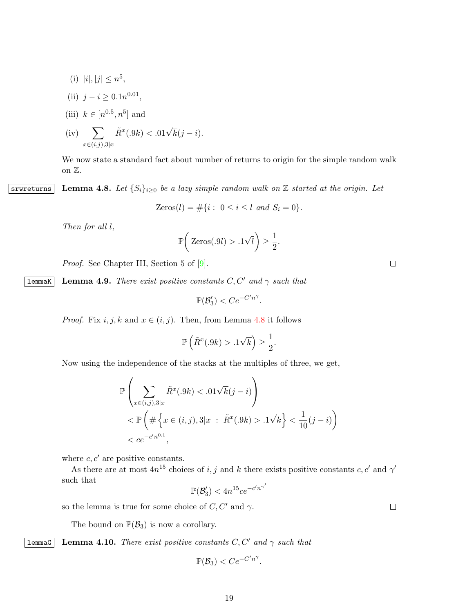- 19
- **lemmaG** Lemma 4.10. There exist positive constants  $C, C'$  and  $\gamma$  such that

so the lemma is true for some choice of  $C, C'$  and  $\gamma$ .

<span id="page-18-0"></span>The bound on  $\mathbb{P}(\mathcal{B}_3)$  is now a corollary.

 $\mathbb{P}(\mathcal{B}_3) < Ce^{-C'n^{\gamma}}.$ 

$$
4n^{15}
$$
 choices of  $i,j$  and  $k$  there exists positive constants  $c,c'$  and  $\gamma'$  
$$
\mathbb{P}(\mathcal{B}_3')<4n^{15}ce^{-c'n^{\gamma'}}
$$

$$
\mathbb{P}\left(\sum_{x\in(i,j),3|x} \tilde{R}^x(.9k) < .01\sqrt{k}(j-i)\right)
$$
\n
$$
< \mathbb{P}\left(\#\left\{x\in(i,j),3|x \;:\; \tilde{R}^x(.9k) > .1\sqrt{k}\right\} < \frac{1}{10}(j-i)\right)
$$
\n
$$
< ce^{-c'n^{0.1}},
$$
\nwhere  $c, c'$  are positive constants.

P

<span id="page-18-2"></span>

Proof. See Chapter III, Section 5 of [\[9\]](#page-44-11).

**LemmaK** Lemma 4.9. There exist positive constants  $C, C'$  and  $\gamma$  such that

 $\mathbb{P}(\mathcal{B}'_3) < Ce^{-C'n^{\gamma}}.$ 

*Proof.* Fix  $i, j, k$  and  $x \in (i, j)$ . Then, from Lemma [4.8](#page-18-1) it follows

 $\mathbb{P}\left(\tilde{R}^x(.9k) > .1\right)$ √  $\overline{k}$ )  $\geq \frac{1}{2}$ 

 $\sqrt{ }$  $\setminus$ 

 $\frac{1}{2}$ . Now using the independence of the stacks at the multiples of three, we get,  $(.9k) < .01\sqrt{ }$ 

 $(iv) \quad \sum$  $\tilde{R}^x(.9k) < .01\sqrt{k}(j-i).$ 

(i)  $|i|, |j| \leq n^5$ ,

Then for all l,

As there are at most

such that

(ii)  $j - i \geq 0.1n^{0.01}$ ,

(iii)  $k \in [n^{0.5}, n^5]$  and

We now state a standard fact about number of returns to origin for the simple random walk

 $x \in (i,j), 3|x$ 

<span id="page-18-1"></span>on Z.

srwreturns Lemma 4.8. Let  $\{S_i\}_{i\geq 0}$  be a lazy simple random walk on Z started at the origin. Let

 $\mathbb{P}\left(\right.{\rm Zeros}(.9l)>.1$ 

$$
Zeros(l) = #\{i : 0 \le i \le l \text{ and } S_i = 0\}.
$$

√

 $\overline{l}$   $\geq \frac{1}{2}$  $\frac{1}{2}$ .

 $\Box$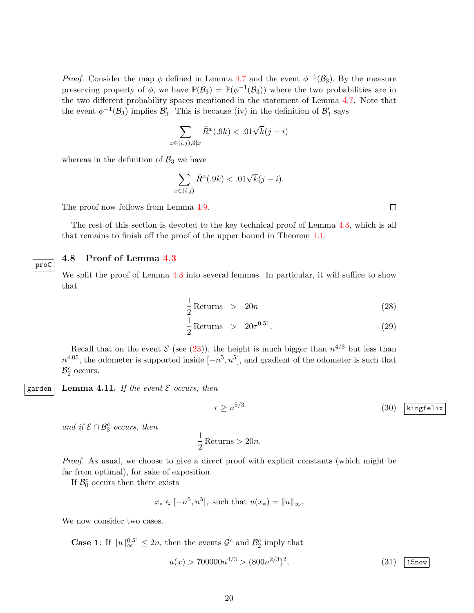*Proof.* Consider the map  $\phi$  defined in Lemma [4.7](#page-17-1) and the event  $\phi^{-1}(\mathcal{B}_3)$ . By the measure preserving property of  $\phi$ , we have  $\mathbb{P}(\mathcal{B}_3) = \mathbb{P}(\phi^{-1}(\mathcal{B}_3))$  where the two probabilities are in the two different probability spaces mentioned in the statement of Lemma [4.7.](#page-17-1) Note that the event  $\phi^{-1}(\mathcal{B}_3)$  implies  $\mathcal{B}'_3$ . This is because (iv) in the definition of  $\mathcal{B}'_3$  says

$$
\sum_{x \in (i,j),3|x} \tilde{R}^x(.9k) < .01\sqrt{k}(j-i)
$$

whereas in the definition of  $\mathcal{B}_3$  we have

$$
\sum_{x \in (i,j)} \tilde{R}^x(.9k) < .01\sqrt{k}(j-i).
$$

The proof now follows from Lemma [4.9.](#page-18-2)

The rest of this section is devoted to the key technical proof of Lemma [4.3,](#page-15-5) which is all that remains to finish off the proof of the upper bound in Theorem [1.1.](#page-1-0)



### <span id="page-19-0"></span>4.8 Proof of Lemma [4.3](#page-15-5)

We split the proof of Lemma [4.3](#page-15-5) into several lemmas. In particular, it will suffice to show that

<span id="page-19-2"></span>
$$
\frac{1}{2} \text{Returns} > 20n \tag{28}
$$

$$
\frac{1}{2} \text{Returns} > 20\tau^{0.51}.
$$
 (29)

<span id="page-19-4"></span>Recall that on the event  $\mathcal{E}$  (see [\(23\)](#page-15-6)), the height is much bigger than  $n^{4/3}$  but less than  $n^{4.05}$ , the odometer is supported inside  $[-n^5, n^5]$ , and gradient of the odometer is such that  $\mathcal{B}_2^c$  occurs.

garden Lemma 4.11. If the event  $\mathcal E$  occurs, then

<span id="page-19-3"></span>
$$
\tau \ge n^{5/3} \tag{30} \overline{\text{kingfelix}}
$$

and if  $\mathcal{E} \cap \mathcal{B}_3^c$  occurs, then

$$
\frac{1}{2} \text{Returns} > 20n.
$$

Proof. As usual, we choose to give a direct proof with explicit constants (which might be far from optimal), for sake of exposition.

If  $\mathcal{B}_0^c$  occurs then there exists

$$
x_* \in [-n^5, n^5]
$$
, such that  $u(x_*) = ||u||_{\infty}$ .

We now consider two cases.

**Case 1:** If  $||u||_{\infty}^{0.51} \leq 2n$ , then the events  $\mathcal{G}^c$  and  $\mathcal{B}_2^c$  imply that

<span id="page-19-1"></span>
$$
u(x) > 700000n^{4/3} > (800n^{2/3})^2,
$$
\n(31) 15now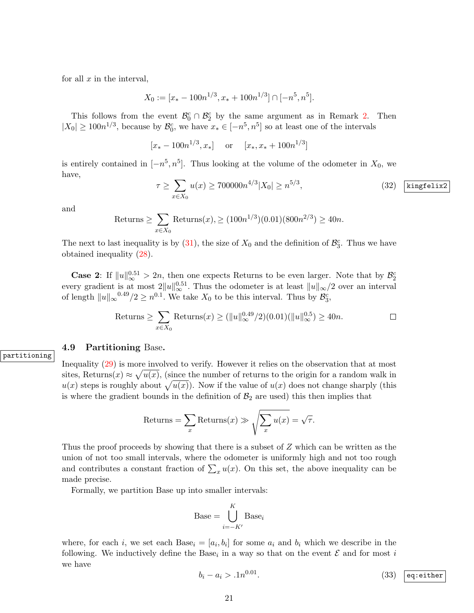for all  $x$  in the interval,

$$
X_0 := [x_* - 100n^{1/3}, x_* + 100n^{1/3}] \cap [-n^5, n^5].
$$

This follows from the event  $\mathcal{B}_0^c \cap \mathcal{B}_2^c$  by the same argument as in Remark [2.](#page-13-2) Then  $|X_0| \geq 100n^{1/3}$ , because by  $\mathcal{B}_0^c$ , we have  $x_* \in [-n^5, n^5]$  so at least one of the intervals

$$
[x_* - 100n^{1/3}, x_*]
$$
 or  $[x_*, x_* + 100n^{1/3}]$ 

is entirely contained in  $[-n^5, n^5]$ . Thus looking at the volume of the odometer in  $X_0$ , we have,

$$
\tau \ge \sum_{x \in X_0} u(x) \ge 700000 n^{4/3} |X_0| \ge n^{5/3},\tag{32} \quad \text{kingfelix2}
$$

and

partitioning

Returns 
$$
\ge \sum_{x \in X_0} \text{Returns}(x), \ge (100n^{1/3})(0.01)(800n^{2/3}) \ge 40n.
$$

The next to last inequality is by  $(31)$ , the size of  $X_0$  and the definition of  $\mathcal{B}_3^c$ . Thus we have obtained inequality [\(28\)](#page-19-2).

**Case 2:** If  $||u||_{\infty}^{0.51} > 2n$ , then one expects Returns to be even larger. Note that by  $\mathcal{B}_2^c$ every gradient is at most  $2||u||_{\infty}^{0.51}$ . Thus the odometer is at least  $||u||_{\infty}/2$  over an interval of length  $||u||_{\infty}^{0.49}/2 \ge n^{0.1}$ . We take  $X_0$  to be this interval. Thus by  $\mathcal{B}_3^c$ ,

Returns 
$$
\ge \sum_{x \in X_0} \text{Returns}(x) \ge (\|u\|_{\infty}^{0.49} / 2)(0.01)(\|u\|_{\infty}^{0.5}) \ge 40n.
$$

#### <span id="page-20-0"></span>4.9 Partitioning Base.

Inequality [\(29\)](#page-19-2) is more involved to verify. However it relies on the observation that at most sites, Returns $(x) \approx \sqrt{u(x)}$ , (since the number of returns to the origin for a random walk in  $u(x)$  steps is roughly about  $\sqrt{u(x)}$ ). Now if the value of  $u(x)$  does not change sharply (this is where the gradient bounds in the definition of  $\mathcal{B}_2$  are used) this then implies that

$$
Returns = \sum_{x} Returns(x) \gg \sqrt{\sum_{x} u(x)} = \sqrt{\tau}.
$$

Thus the proof proceeds by showing that there is a subset of Z which can be written as the union of not too small intervals, where the odometer is uniformly high and not too rough and contributes a constant fraction of  $\sum_{x} u(x)$ . On this set, the above inequality can be made precise.

Formally, we partition Base up into smaller intervals:

$$
\text{Base} = \bigcup_{i=-K'}^{K} \text{Base}_i
$$

where, for each i, we set each  $Base_i = [a_i, b_i]$  for some  $a_i$  and  $b_i$  which we describe in the following. We inductively define the Base<sub>i</sub> in a way so that on the event  $\mathcal E$  and for most i we have

$$
b_i - a_i > .1n^{0.01}.\tag{33}
$$
  $\boxed{\text{eq:either}}$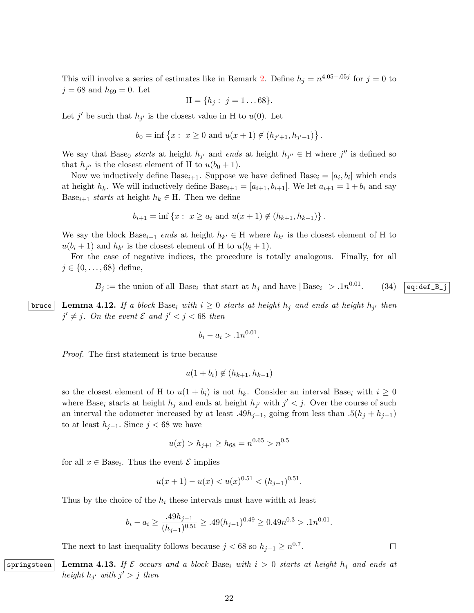This will involve a series of estimates like in Remark [2.](#page-13-2) Define  $h_j = n^{4.05-.05j}$  for  $j = 0$  to  $j = 68$  and  $h_{69} = 0$ . Let

$$
H = \{h_j : j = 1 \dots 68\}.
$$

Let j' be such that  $h_{j'}$  is the closest value in H to  $u(0)$ . Let

$$
b_0 = \inf \{x : x \ge 0 \text{ and } u(x+1) \notin (h_{j'+1}, h_{j'-1})\}.
$$

We say that Base<sub>0</sub> starts at height  $h_{j'}$  and ends at height  $h_{j''} \in H$  where  $j''$  is defined so that  $h_{j''}$  is the closest element of H to  $u(b_0 + 1)$ .

Now we inductively define  $Base_{i+1}$ . Suppose we have defined  $Base_i = [a_i, b_i]$  which ends at height  $h_k$ . We will inductively define  $Base_{i+1} = [a_{i+1}, b_{i+1}]$ . We let  $a_{i+1} = 1 + b_i$  and say Base<sub>i+1</sub> starts at height  $h_k \in H$ . Then we define

$$
b_{i+1} = \inf \{x : x \ge a_i \text{ and } u(x+1) \notin (h_{k+1}, h_{k-1})\}.
$$

We say the block  $Base_{i+1}$  ends at height  $h_{k'} \in H$  where  $h_{k'}$  is the closest element of H to  $u(b_i + 1)$  and  $h_{k'}$  is the closest element of H to  $u(b_i + 1)$ .

For the case of negative indices, the procedure is totally analogous. Finally, for all  $j \in \{0, ..., 68\}$  define,

> <span id="page-21-2"></span> $B_j :=$  the union of all Base<sub>i</sub> that start at  $h_j$  and have  $|$ Base<sub>i</sub> $| > .1n^{0.01}$  $(34)$  eq:def\_B\_j

<span id="page-21-0"></span>bruce Lemma 4.12. If a block Base<sub>i</sub> with  $i \geq 0$  starts at height  $h_j$  and ends at height  $h_{j'}$  then  $j' \neq j$ . On the event  $\mathcal E$  and  $j' < j < 68$  then

$$
b_i - a_i > .1n^{0.01}.
$$

Proof. The first statement is true because

$$
u(1+b_i) \notin (h_{k+1}, h_{k-1})
$$

so the closest element of H to  $u(1 + b_i)$  is not  $h_k$ . Consider an interval Base<sub>i</sub> with  $i \geq 0$ where Base<sub>i</sub> starts at height  $h_j$  and ends at height  $h_{j'}$  with  $j' < j$ . Over the course of such an interval the odometer increased by at least .49 $h_{j-1}$ , going from less than .5( $h_j + h_{j-1}$ ) to at least  $h_{j-1}$ . Since  $j < 68$  we have

$$
u(x) > h_{j+1} \ge h_{68} = n^{0.65} > n^{0.5}
$$

for all  $x \in \text{Base}_i$ . Thus the event  $\mathcal E$  implies

$$
u(x + 1) - u(x) < u(x)^{0.51} < (h_{j-1})^{0.51}.
$$

Thus by the choice of the  $h_i$  these intervals must have width at least

$$
b_i - a_i \ge \frac{.49h_{j-1}}{(h_{j-1})^{0.51}} \ge .49(h_{j-1})^{0.49} \ge 0.49n^{0.3} > .1n^{0.01}.
$$

 $\Box$ 

<span id="page-21-1"></span>The next to last inequality follows because  $j < 68$  so  $h_{j-1} \geq n^{0.7}$ .

springsteen Lemma 4.13. If E occurs and a block Base<sub>i</sub> with  $i > 0$  starts at height  $h_j$  and ends at height  $h_{j'}$  with  $j' > j$  then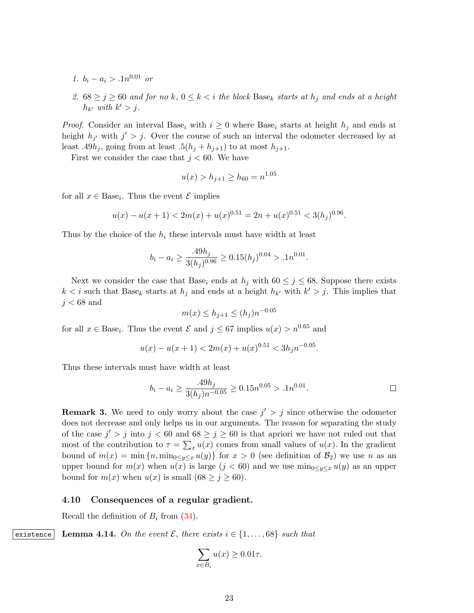- 1.  $b_i a_i > .1n^{0.01}$  or
- 2.  $68 \ge j \ge 60$  and for no k,  $0 \le k < i$  the block Base<sub>k</sub> starts at h<sub>j</sub> and ends at a height  $h_{k'}$  with  $k' > j$ .

*Proof.* Consider an interval Base<sub>i</sub> with  $i \geq 0$  where Base<sub>i</sub> starts at height  $h_i$  and ends at height  $h_{j'}$  with  $j' > j$ . Over the course of such an interval the odometer decreased by at least .49 $h_j$ , going from at least  $.5(h_j + h_{j+1})$  to at most  $h_{j+1}$ .

First we consider the case that  $j < 60$ . We have

$$
u(x) > h_{j+1} \ge h_{60} = n^{1.05}
$$

for all  $x \in \text{Base}_i$ . Thus the event  $\mathcal E$  implies

$$
u(x) - u(x+1) < 2m(x) + u(x)^{0.51} = 2n + u(x)^{0.51} < 3(h_j)^{0.96}.
$$

Thus by the choice of the  $h_i$  these intervals must have width at least

$$
b_i - a_i \ge \frac{.49h_j}{3(h_j)^{0.96}} \ge 0.15(h_j)^{0.04} > .1n^{0.01}.
$$

Next we consider the case that Base<sub>i</sub> ends at  $h_j$  with  $60 \leq j \leq 68$ . Suppose there exists  $k < i$  such that  $Base_k$  starts at  $h_j$  and ends at a height  $h_{k'}$  with  $k' > j$ . This implies that  $j < 68$  and

$$
m(x) \le h_{j+1} \le (h_j)n^{-0.05}
$$

for all  $x \in \text{Base}_i$ . Thus the event  $\mathcal E$  and  $j \leq 67$  implies  $u(x) > n^{0.65}$  and

$$
u(x) - u(x+1) < 2m(x) + u(x)^{0.51} < 3h_j n^{-0.05}.
$$

Thus these intervals must have width at least

$$
b_i - a_i \ge \frac{.49h_j}{3(h_j)n^{-0.05}} \ge 0.15n^{0.05} > .1n^{0.01}.
$$

**Remark 3.** We need to only worry about the case  $j' > j$  since otherwise the odometer does not decrease and only helps us in our arguments. The reason for separating the study of the case  $j' > j$  into  $j < 60$  and  $68 \ge j \ge 60$  is that apriori we have not ruled out that most of the contribution to  $\tau = \sum_x u(x)$  comes from small values of  $u(x)$ . In the gradient bound of  $m(x) = \min\{n, \min_{0 \le y \le x} u(y)\}\$  for  $x > 0$  (see definition of  $\mathcal{B}_2$ ) we use n as an upper bound for  $m(x)$  when  $u(x)$  is large  $(j < 60)$  and we use  $\min_{0 \le y \le x} u(y)$  as an upper bound for  $m(x)$  when  $u(x)$  is small  $(68 \ge j \ge 60)$ .

#### 4.10 Consequences of a regular gradient.

<span id="page-22-0"></span>Recall the definition of  $B_i$  from  $(34)$ .

existence Lemma 4.14. On the event  $\mathcal{E}$ , there exists  $i \in \{1, \ldots, 68\}$  such that

$$
\sum_{x \in B_i} u(x) \ge 0.01\tau.
$$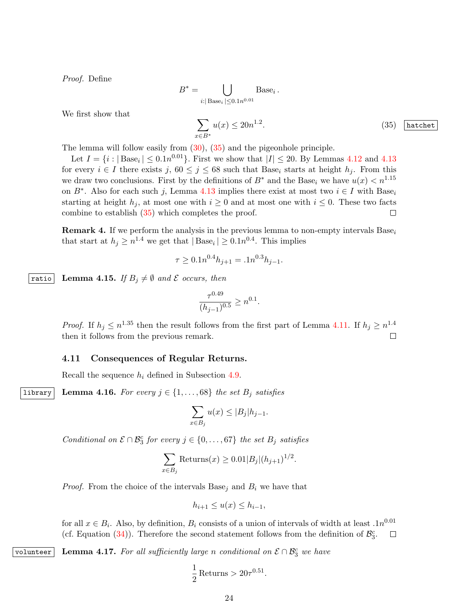Proof. Define

$$
B^* = \bigcup_{i:|\text{Base}_i| \le 0.1n^{0.01}} \text{Base}_i.
$$
  

$$
\sum u(x) \le 20n^{1.2}.
$$
 (35)  $\boxed{\text{hatchet}}$ 

We first show that

The lemma will follow easily from [\(30\)](#page-19-3), [\(35\)](#page-23-0) and the pigeonhole principle.

<span id="page-23-0"></span>x∈B<sup>∗</sup>

Let  $I = \{i : |\text{Base}_i| \leq 0.1n^{0.01}\}$ . First we show that  $|I| \leq 20$ . By Lemmas [4.12](#page-21-0) and [4.13](#page-21-1) for every  $i \in I$  there exists j,  $60 \le j \le 68$  such that Base<sub>i</sub> starts at height  $h_j$ . From this we draw two conclusions. First by the definitions of  $B^*$  and the Base<sub>i</sub> we have  $u(x) < n^{1.15}$ on  $B^*$ . Also for each such j, Lemma [4.13](#page-21-1) implies there exist at most two  $i \in I$  with  $Base_i$ starting at height  $h_j$ , at most one with  $i \geq 0$  and at most one with  $i \leq 0$ . These two facts combine to establish [\(35\)](#page-23-0) which completes the proof.  $\Box$ 

**Remark 4.** If we perform the analysis in the previous lemma to non-empty intervals  $Base_i$ that start at  $h_j \geq n^{1.4}$  we get that  $|\text{Base}_i| \geq 0.1n^{0.4}$ . This implies

$$
\tau \ge 0.1n^{0.4}h_{j+1} = .1n^{0.3}h_{j-1}.
$$

|ratio| Lemma 4.15. If  $B_j \neq \emptyset$  and E occurs, then

$$
\frac{\tau^{0.49}}{(h_{j-1})^{0.5}} \ge n^{0.1}
$$

.

*Proof.* If  $h_j \n\t\leq n^{1.35}$  then the result follows from the first part of Lemma [4.11.](#page-19-4) If  $h_j \geq n^{1.4}$ then it follows from the previous remark. П

#### 4.11 Consequences of Regular Returns.

<span id="page-23-1"></span>Recall the sequence  $h_i$  defined in Subsection [4.9.](#page-20-0)

library Lemma 4.16. For every  $j \in \{1, \ldots, 68\}$  the set  $B_j$  satisfies

$$
\sum_{x \in B_j} u(x) \le |B_j| h_{j-1}.
$$

Conditional on  $\mathcal{E} \cap \mathcal{B}_3^c$  for every  $j \in \{0, \ldots, 67\}$  the set  $B_j$  satisfies

$$
\sum_{x \in B_j} \text{Returns}(x) \ge 0.01 |B_j|(h_{j+1})^{1/2}.
$$

*Proof.* From the choice of the intervals Base<sub>j</sub> and  $B_i$  we have that

 $h_{i+1} \leq u(x) \leq h_{i-1}$ 

<span id="page-23-3"></span>for all  $x \in B_i$ . Also, by definition,  $B_i$  consists of a union of intervals of width at least .1 $n^{0.01}$ (cf. Equation  $(34)$ ). Therefore the second statement follows from the definition of  $\mathcal{B}_3^c$ .  $\Box$ 

volunteer Lemma 4.17. For all sufficiently large n conditional on  $\mathcal{E} \cap \mathcal{B}_3^c$  we have

$$
\frac{1}{2} \text{Returns} > 20\tau^{0.51}.
$$

<span id="page-23-2"></span>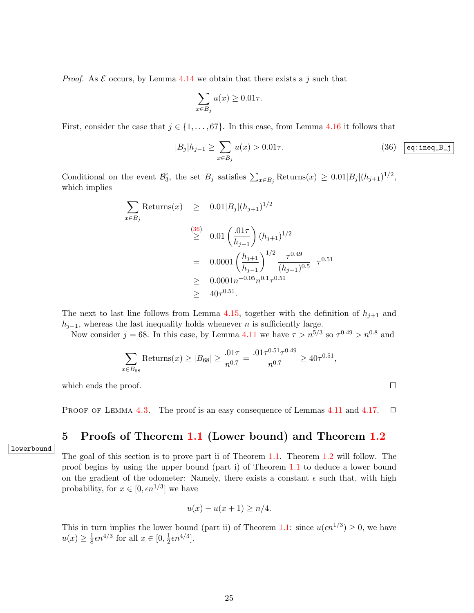*Proof.* As  $\mathcal{E}$  occurs, by Lemma [4.14](#page-22-0) we obtain that there exists a j such that

$$
\sum_{x \in B_j} u(x) \ge 0.01\tau.
$$

First, consider the case that  $j \in \{1, \ldots, 67\}$ . In this case, from Lemma [4.16](#page-23-1) it follows that

<span id="page-24-1"></span>
$$
|B_j|h_{j-1} \ge \sum_{x \in B_j} u(x) > 0.01\tau.
$$
 (36)  $\boxed{\text{eq:ineq\_B_j}}$ 

 $\Box$ 

Conditional on the event  $\mathcal{B}_3^c$ , the set  $B_j$  satisfies  $\sum_{x \in B_j} \text{Returns}(x) \geq 0.01 |B_j|(h_{j+1})^{1/2}$ , which implies

$$
\sum_{x \in B_j} \text{Returns}(x) \ge 0.01 |B_j|(h_{j+1})^{1/2}
$$
\n
$$
\ge 0.01 \left(\frac{.01\tau}{h_{j-1}}\right) (h_{j+1})^{1/2}
$$
\n
$$
= 0.0001 \left(\frac{h_{j+1}}{h_{j-1}}\right)^{1/2} \frac{\tau^{0.49}}{(h_{j-1})^{0.5}} \tau^{0.51}
$$
\n
$$
\ge 0.0001n^{-0.05}n^{0.1}\tau^{0.51}
$$
\n
$$
\ge 40\tau^{0.51}.
$$

The next to last line follows from Lemma [4.15,](#page-23-2) together with the definition of  $h_{j+1}$  and  $h_{j-1}$ , whereas the last inequality holds whenever n is sufficiently large.

Now consider  $j = 68$ . In this case, by Lemma [4.11](#page-19-4) we have  $\tau > n^{5/3}$  so  $\tau^{0.49} > n^{0.8}$  and

$$
\sum_{x \in B_{68}} \text{Returns}(x) \ge |B_{68}| \ge \frac{.01\tau}{n^{0.7}} = \frac{.01\tau^{0.51}\tau^{0.49}}{n^{0.7}} \ge 40\tau^{0.51},
$$

which ends the proof.

PROOF OF LEMMA [4.3.](#page-15-5) The proof is an easy consequence of Lemmas [4.11](#page-19-4) and [4.17.](#page-23-3)  $\Box$ 

# <span id="page-24-0"></span>5 Proofs of Theorem [1.1](#page-1-0) (Lower bound) and Theorem [1.2](#page-1-1)

lowerbound

The goal of this section is to prove part ii of Theorem [1.1.](#page-1-0) Theorem [1.2](#page-1-1) will follow. The proof begins by using the upper bound (part i) of Theorem [1.1](#page-1-0) to deduce a lower bound on the gradient of the odometer: Namely, there exists a constant  $\epsilon$  such that, with high probability, for  $x \in [0, \epsilon n^{1/3}]$  we have

$$
u(x) - u(x+1) \ge n/4.
$$

This in turn implies the lower bound (part ii) of Theorem [1.1:](#page-1-0) since  $u(\epsilon n^{1/3}) \geq 0$ , we have  $u(x) \geq \frac{1}{8}$  $\frac{1}{8} \epsilon n^{4/3}$  for all  $x \in [0, \frac{1}{2}]$  $\frac{1}{2}$  $\epsilon n^{4/3}$ .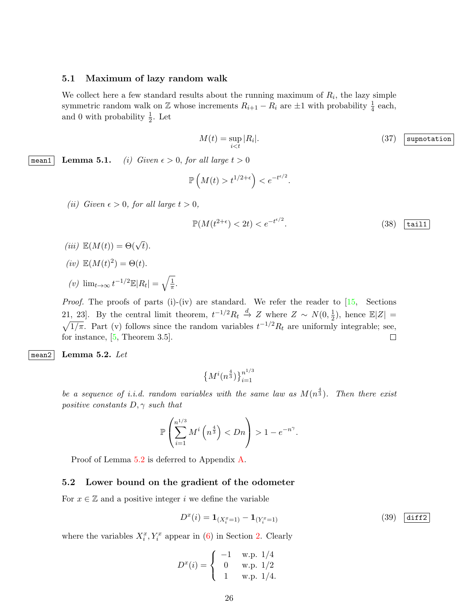#### 5.1 Maximum of lazy random walk

We collect here a few standard results about the running maximum of  $R_i$ , the lazy simple symmetric random walk on Z whose increments  $R_{i+1} - R_i$  are  $\pm 1$  with probability  $\frac{1}{4}$  each, and 0 with probability  $\frac{1}{2}$ . Let

$$
M(t) = \sup_{i < t} |R_i|.\tag{37}
$$
 
$$
\boxed{\text{supportation}}
$$

|mean1| Lemma 5.1. (i) Given  $\epsilon > 0$ , for all large  $t > 0$ 

$$
\mathbb{P}\left(M(t) > t^{1/2+\epsilon}\right) < e^{-t^{\epsilon/2}}.
$$

(ii) Given  $\epsilon > 0$ , for all large  $t > 0$ ,

$$
\mathbb{P}(M(t^{2+\epsilon}) < 2t) < e^{-t^{\epsilon/2}}.\tag{38}
$$

- (iii)  $\mathbb{E}(M(t)) = \Theta(\sqrt{t}).$
- (iv)  $\mathbb{E}(M(t)^2) = \Theta(t)$ .
- (v)  $\lim_{t\to\infty} t^{-1/2} \mathbb{E}|R_t| = \sqrt{\frac{1}{\pi}}$  $\frac{1}{\pi}$ .

*Proof.* The proofs of parts (i)-(iv) are standard. We refer the reader to  $\left|15\right|$ , Sections 21, 23]. By the central limit theorem,  $t^{-1/2}R_t \stackrel{d}{\to} Z$  where  $Z \sim N(0, \frac{1}{2})$  $\frac{1}{2}$ ), hence  $\mathbb{E}|Z| =$  $\sqrt{1/\pi}$ . Part (v) follows since the random variables  $t^{-1/2}R_t$  are uniformly integrable; see, for instance, [\[5,](#page-44-13) Theorem 3.5].  $\Box$ 

<span id="page-25-0"></span>

mean2 Lemma 5.2. Let

$$
\big\{M^i(n^{\frac{4}{3}})\big\}_{i=1}^{n^{1/3}}
$$

be a sequence of i.i.d. random variables with the same law as  $M(n^{\frac{4}{3}})$ . Then there exist positive constants  $D, \gamma$  such that

$$
\mathbb{P}\left(\sum_{i=1}^{n^{1/3}} M^i \left(n^{\frac{4}{3}}\right) < D n\right) > 1 - e^{-n^{\gamma}}.
$$

Proof of Lemma [5.2](#page-25-0) is deferred to Appendix [A.](#page-41-1)

## 5.2 Lower bound on the gradient of the odometer

For  $x \in \mathbb{Z}$  and a positive integer i we define the variable

<span id="page-25-1"></span>
$$
D^{x}(i) = \mathbf{1}_{(X_i^x = 1)} - \mathbf{1}_{(Y_i^x = 1)}
$$
\n(39) diff2

where the variables  $X_i^x, Y_i^x$  appear in [\(6\)](#page-6-1) in Section [2.](#page-6-0) Clearly

$$
D^{x}(i) = \begin{cases} -1 & \text{w.p. } 1/4 \\ 0 & \text{w.p. } 1/2 \\ 1 & \text{w.p. } 1/4. \end{cases}
$$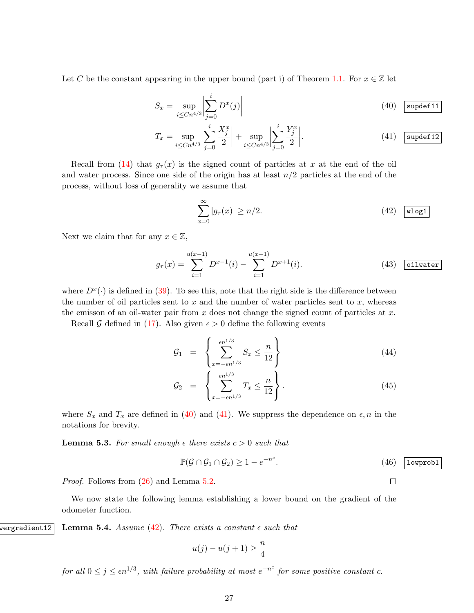Let C be the constant appearing in the upper bound (part i) of Theorem [1.1.](#page-1-0) For  $x \in \mathbb{Z}$  let

$$
S_x = \sup_{i \le Cn^{4/3}} \left| \sum_{j=0}^{i} D^x(j) \right| \tag{40} \quad \text{super11}
$$

$$
T_x = \sup_{i \le Cn^{4/3}} \left| \sum_{j=0}^{i} \frac{X_j^x}{2} \right| + \sup_{i \le Cn^{4/3}} \left| \sum_{j=0}^{i} \frac{Y_j^x}{2} \right|.
$$
 (41) **supdef12**

Recall from [\(14\)](#page-9-3) that  $g<sub>\tau</sub>(x)$  is the signed count of particles at x at the end of the oil and water process. Since one side of the origin has at least  $n/2$  particles at the end of the process, without loss of generality we assume that

<span id="page-26-2"></span><span id="page-26-1"></span><span id="page-26-0"></span>
$$
\sum_{x=0}^{\infty} |g_{\tau}(x)| \ge n/2.
$$
 (42)  $\boxed{\text{wlog}1}$ 

Next we claim that for any  $x \in \mathbb{Z}$ ,

<span id="page-26-3"></span>
$$
g_{\tau}(x) = \sum_{i=1}^{u(x-1)} D^{x-1}(i) - \sum_{i=1}^{u(x+1)} D^{x+1}(i).
$$
 (43) between

where  $D^x(\cdot)$  is defined in [\(39\)](#page-25-1). To see this, note that the right side is the difference between the number of oil particles sent to  $x$  and the number of water particles sent to  $x$ , whereas the emisson of an oil-water pair from  $x$  does not change the signed count of particles at  $x$ .

Recall G defined in [\(17\)](#page-11-3). Also given  $\epsilon > 0$  define the following events

$$
G_1 = \left\{ \sum_{x = -\epsilon n^{1/3}}^{\epsilon n^{1/3}} S_x \le \frac{n}{12} \right\}
$$
 (44)

$$
\mathcal{G}_2 = \left\{ \sum_{x=-\epsilon n^{1/3}}^{\epsilon n^{1/3}} T_x \le \frac{n}{12} \right\}.
$$
\n(45)

where  $S_x$  and  $T_x$  are defined in [\(40\)](#page-26-0) and [\(41\)](#page-26-1). We suppress the dependence on  $\epsilon, n$  in the notations for brevity.

**Lemma 5.3.** For small enough  $\epsilon$  there exists  $c > 0$  such that

<span id="page-26-5"></span>
$$
\mathbb{P}(\mathcal{G} \cap \mathcal{G}_1 \cap \mathcal{G}_2) \ge 1 - e^{-n^c}.\tag{46}
$$

Proof. Follows from [\(26\)](#page-15-7) and Lemma [5.2.](#page-25-0)

<span id="page-26-4"></span>We now state the following lemma establishing a lower bound on the gradient of the odometer function.

wergradient12 Lemma 5.4. Assume [\(42\)](#page-26-2). There exists a constant  $\epsilon$  such that

$$
u(j) - u(j+1) \ge \frac{n}{4}
$$

for all  $0 \leq j \leq \epsilon n^{1/3}$ , with failure probability at most  $e^{-n^c}$  for some positive constant c.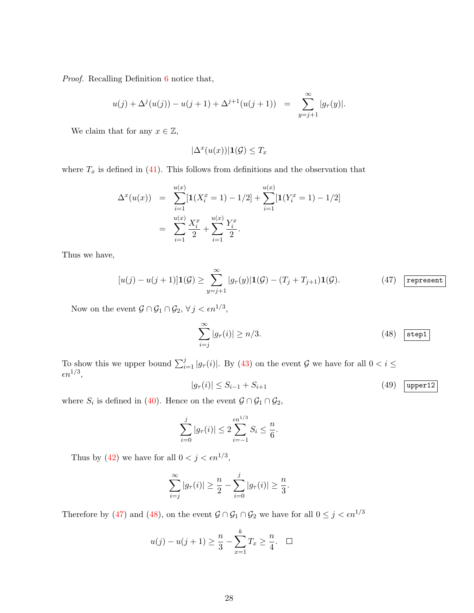Proof. Recalling Definition [6](#page-15-8) notice that,

$$
u(j) + \Delta^{j}(u(j)) - u(j+1) + \Delta^{j+1}(u(j+1)) = \sum_{y=j+1}^{\infty} |g_{\tau}(y)|.
$$

We claim that for any  $x \in \mathbb{Z}$ ,

$$
|\Delta^x(u(x))| \mathbf{1}(\mathcal{G}) \leq T_x
$$

where  $T_x$  is defined in [\(41\)](#page-26-1). This follows from definitions and the observation that

$$
\Delta^x(u(x)) = \sum_{i=1}^{u(x)} [\mathbf{1}(X_i^x = 1) - 1/2] + \sum_{i=1}^{u(x)} [\mathbf{1}(Y_i^x = 1) - 1/2]
$$

$$
= \sum_{i=1}^{u(x)} \frac{X_i^x}{2} + \sum_{i=1}^{u(x)} \frac{Y_i^x}{2}.
$$

Thus we have,

<span id="page-27-0"></span>
$$
[u(j) - u(j+1)]\mathbf{1}(\mathcal{G}) \ge \sum_{y=j+1}^{\infty} |g_{\tau}(y)|\mathbf{1}(\mathcal{G}) - (T_j + T_{j+1})\mathbf{1}(\mathcal{G}).
$$
 (47) (47) (approxent)

Now on the event  $\mathcal{G} \cap \mathcal{G}_1 \cap \mathcal{G}_2$ ,  $\forall j \lt \epsilon n^{1/3}$ ,

<span id="page-27-1"></span>
$$
\sum_{i=j}^{\infty} |g_{\tau}(i)| \ge n/3. \tag{48}
$$

To show this we upper bound  $\sum_{i=1}^{j} |g_{\tau}(i)|$ . By [\(43\)](#page-26-3) on the event G we have for all  $0 < i \leq$  $\epsilon n^{1/3},$ 

<span id="page-27-3"></span>
$$
|g_{\tau}(i)| \le S_{i-1} + S_{i+1} \tag{49} \text{upper 12}
$$

where  $S_i$  is defined in [\(40\)](#page-26-0). Hence on the event  $\mathcal{G} \cap \mathcal{G}_1 \cap \mathcal{G}_2$ ,

$$
\sum_{i=0}^{j} |g_{\tau}(i)| \leq 2 \sum_{i=-1}^{\epsilon n^{1/3}} S_i \leq \frac{n}{6}.
$$

Thus by [\(42\)](#page-26-2) we have for all  $0 < j < \epsilon n^{1/3}$ ,

$$
\sum_{i=j}^{\infty} |g_{\tau}(i)| \geq \frac{n}{2} - \sum_{i=0}^{j} |g_{\tau}(i)| \geq \frac{n}{3}.
$$

Therefore by [\(47\)](#page-27-0) and [\(48\)](#page-27-1), on the event  $\mathcal{G} \cap \mathcal{G}_1 \cap \mathcal{G}_2$  we have for all  $0 \leq j < \epsilon n^{1/3}$ 

<span id="page-27-2"></span>
$$
u(j) - u(j+1) \ge \frac{n}{3} - \sum_{x=1}^{k} T_x \ge \frac{n}{4}.
$$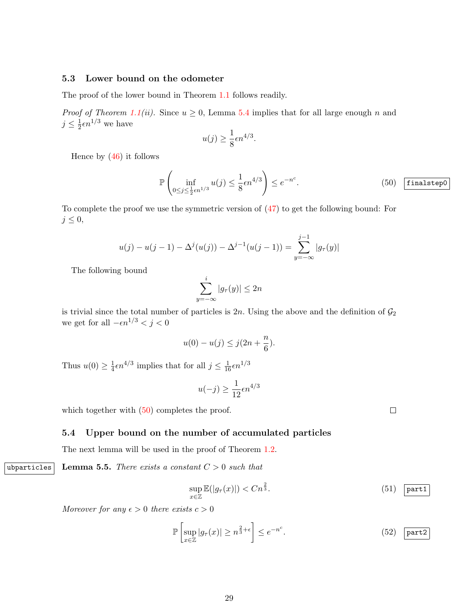#### 5.3 Lower bound on the odometer

The proof of the lower bound in Theorem [1.1](#page-1-0) follows readily.

*Proof of Theorem [1.1\(](#page-1-0)ii).* Since  $u \geq 0$ , Lemma [5.4](#page-26-4) implies that for all large enough n and  $j\leq \frac{1}{2}$  $\frac{1}{2} \epsilon n^{1/3}$  we have

$$
u(j) \ge \frac{1}{8} \epsilon n^{4/3}.
$$

Hence by  $(46)$  it follows

$$
\mathbb{P}\left(\inf_{0\leq j\leq \frac{1}{2}\epsilon n^{1/3}} u(j) \leq \frac{1}{8}\epsilon n^{4/3}\right) \leq e^{-n^c}.\tag{50} \boxed{\text{finalstep0}}
$$

To complete the proof we use the symmetric version of [\(47\)](#page-27-0) to get the following bound: For  $j \leq 0$ ,

$$
u(j) - u(j-1) - \Delta^{j}(u(j)) - \Delta^{j-1}(u(j-1)) = \sum_{y=-\infty}^{j-1} |g_{\tau}(y)|
$$

The following bound

$$
\sum_{y=-\infty}^{i} |g_{\tau}(y)| \le 2n
$$

is trivial since the total number of particles is  $2n$ . Using the above and the definition of  $\mathcal{G}_2$ we get for all  $-\epsilon n^{1/3} < j < 0$ 

$$
u(0) - u(j) \le j(2n + \frac{n}{6}).
$$

Thus  $u(0) \geq \frac{1}{4}$  $\frac{1}{4} \epsilon n^{4/3}$  implies that for all  $j \leq \frac{1}{16} \epsilon n^{1/3}$ 

$$
u(-j) \ge \frac{1}{12} \epsilon n^{4/3}
$$

which together with  $(50)$  completes the proof.

#### 5.4 Upper bound on the number of accumulated particles

<span id="page-28-2"></span>The next lemma will be used in the proof of Theorem [1.2.](#page-1-1)

ubparticles Lemma 5.5. There exists a constant  $C > 0$  such that

<span id="page-28-0"></span>
$$
\sup_{x \in \mathbb{Z}} \mathbb{E}(|g_{\tau}(x)|) < Cn^{\frac{2}{3}}.\tag{51}
$$

Moreover for any  $\epsilon > 0$  there exists  $c > 0$ 

<span id="page-28-1"></span>
$$
\mathbb{P}\left[\sup_{x\in\mathbb{Z}}|g_{\tau}(x)|\geq n^{\frac{2}{3}+\epsilon}\right] \leq e^{-n^c}.\tag{52}
$$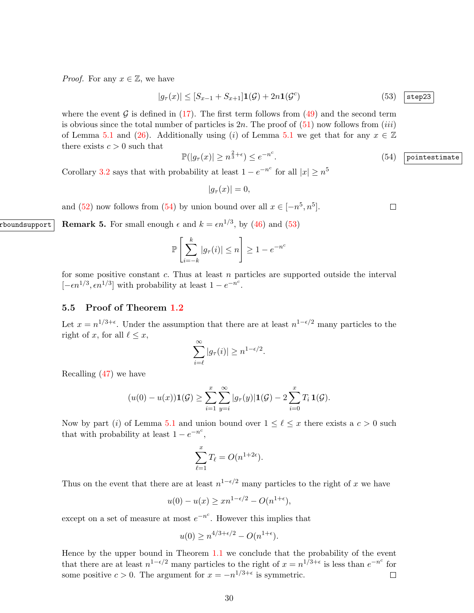*Proof.* For any  $x \in \mathbb{Z}$ , we have

<span id="page-29-1"></span>
$$
|g_{\tau}(x)| \le [S_{x-1} + S_{x+1}] \mathbf{1}(\mathcal{G}) + 2n \mathbf{1}(\mathcal{G}^c)
$$
 (53)  $\boxed{\text{step23}}$ 

where the event  $\mathcal G$  is defined in [\(17\)](#page-11-3). The first term follows from [\(49\)](#page-27-3) and the second term is obvious since the total number of particles is  $2n$ . The proof of  $(51)$  now follows from  $(iii)$ of Lemma [5.1](#page-0-0) and [\(26\)](#page-15-7). Additionally using (i) of Lemma 5.1 we get that for any  $x \in \mathbb{Z}$ there exists  $c > 0$  such that

<span id="page-29-0"></span>
$$
\mathbb{P}(|g_{\tau}(x)| \ge n^{\frac{2}{3}+\epsilon}) \le e^{-n^c}.
$$
\n(54)  $\boxed{\text{pointestimate}}$ 

 $\Box$ 

Corollary [3.2](#page-8-2) says that with probability at least  $1 - e^{-n^c}$  for all  $|x| \geq n^5$ 

$$
|g_{\tau}(x)| = 0,
$$

and [\(52\)](#page-28-1) now follows from [\(54\)](#page-29-0) by union bound over all  $x \in [-n^5, n^5]$ .

**rboundsupport** Remark 5. For small enough  $\epsilon$  and  $k = \epsilon n^{1/3}$ , by [\(46\)](#page-26-5) and [\(53\)](#page-29-1)

$$
\mathbb{P}\left[\sum_{i=-k}^{k} |g_{\tau}(i)| \leq n\right] \geq 1 - e^{-n^c}
$$

for some positive constant  $c$ . Thus at least  $n$  particles are supported outside the interval  $[-\epsilon n^{1/3}, \epsilon n^{1/3}]$  with probability at least  $1 - e^{-n^c}$ .

### 5.5 Proof of Theorem [1.2](#page-1-1)

Let  $x = n^{1/3+\epsilon}$ . Under the assumption that there are at least  $n^{1-\epsilon/2}$  many particles to the right of x, for all  $\ell \leq x$ ,

$$
\sum_{i=\ell}^{\infty} |g_{\tau}(i)| \ge n^{1-\epsilon/2}.
$$

Recalling [\(47\)](#page-27-0) we have

$$
(u(0) - u(x))\mathbf{1}(\mathcal{G}) \ge \sum_{i=1}^{x} \sum_{y=i}^{\infty} |g_{\tau}(y)|\mathbf{1}(\mathcal{G}) - 2 \sum_{i=0}^{x} T_i \mathbf{1}(\mathcal{G}).
$$

Now by part (i) of Lemma [5.1](#page-0-0) and union bound over  $1 \leq \ell \leq x$  there exists a  $c > 0$  such that with probability at least  $1 - e^{-n^c}$ ,

$$
\sum_{\ell=1}^{x} T_{\ell} = O(n^{1+2\epsilon}).
$$

Thus on the event that there are at least  $n^{1-\epsilon/2}$  many particles to the right of x we have

$$
u(0) - u(x) \geq xn^{1-\epsilon/2} - O(n^{1+\epsilon}),
$$

except on a set of measure at most  $e^{-n^c}$ . However this implies that

$$
u(0) \ge n^{4/3 + \epsilon/2} - O(n^{1+\epsilon}).
$$

Hence by the upper bound in Theorem [1.1](#page-1-0) we conclude that the probability of the event that there are at least  $n^{1-\epsilon/2}$  many particles to the right of  $x = n^{1/3+\epsilon}$  is less than  $e^{-n^c}$  for some positive  $c > 0$ . The argument for  $x = -n^{1/3 + \epsilon}$  is symmetric.  $\Box$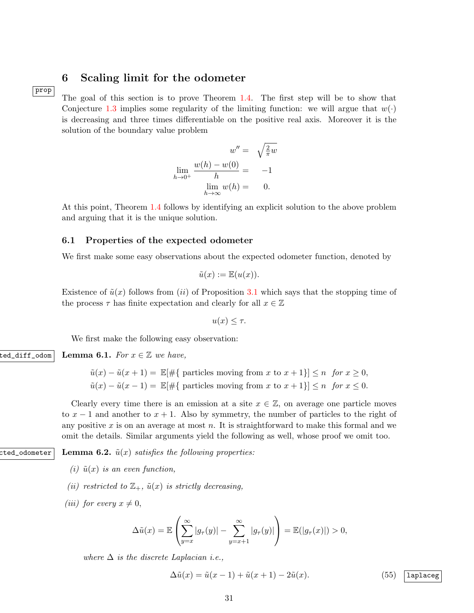# <span id="page-30-0"></span>6 Scaling limit for the odometer

prop

The goal of this section is to prove Theorem [1.4.](#page-1-3) The first step will be to show that Conjecture [1.3](#page-0-0) implies some regularity of the limiting function: we will argue that  $w(\cdot)$ is decreasing and three times differentiable on the positive real axis. Moreover it is the solution of the boundary value problem

$$
w'' = \sqrt{\frac{2}{\pi}}w
$$
  

$$
\lim_{h \to 0^+} \frac{w(h) - w(0)}{h} = -1
$$
  

$$
\lim_{h \to \infty} w(h) = 0.
$$

At this point, Theorem [1.4](#page-1-3) follows by identifying an explicit solution to the above problem and arguing that it is the unique solution.

#### 6.1 Properties of the expected odometer

We first make some easy observations about the expected odometer function, denoted by

$$
\tilde{u}(x) := \mathbb{E}(u(x)).
$$

Existence of  $\tilde{u}(x)$  follows from (ii) of Proposition [3.1](#page-7-3) which says that the stopping time of the process  $\tau$  has finite expectation and clearly for all  $x \in \mathbb{Z}$ 

$$
u(x) \leq \tau.
$$

<span id="page-30-2"></span>We first make the following easy observation:

ted\_diff\_odom $\vert$  Lemma 6.1.  $\emph{For } x \in \mathbb{Z}$  we have,

 $\tilde{u}(x) - \tilde{u}(x+1) = \mathbb{E}[\#\{\text{ particles moving from } x \text{ to } x+1\}] \leq n \text{ for } x \geq 0,$  $\tilde{u}(x) - \tilde{u}(x-1) = \mathbb{E}[\#\{\text{ particles moving from } x \text{ to } x+1\}] \leq n \text{ for } x \leq 0.$ 

Clearly every time there is an emission at a site  $x \in \mathbb{Z}$ , on average one particle moves to  $x - 1$  and another to  $x + 1$ . Also by symmetry, the number of particles to the right of any positive  $x$  is on an average at most  $n$ . It is straightforward to make this formal and we omit the details. Similar arguments yield the following as well, whose proof we omit too.

example dometer Lemma 6.2.  $\tilde{u}(x)$  satisfies the following properties:

- <span id="page-30-1"></span>(i)  $\tilde{u}(x)$  is an even function,
- (ii) restricted to  $\mathbb{Z}_+$ ,  $\tilde{u}(x)$  is strictly decreasing,
- (*iii*) for every  $x \neq 0$ ,

$$
\Delta \tilde{u}(x) = \mathbb{E}\left(\sum_{y=x}^{\infty} |g_{\tau}(y)| - \sum_{y=x+1}^{\infty} |g_{\tau}(y)|\right) = \mathbb{E}(|g_{\tau}(x)|) > 0,
$$

where  $\Delta$  is the discrete Laplacian i.e.,

<span id="page-30-3"></span>
$$
\Delta \tilde{u}(x) = \tilde{u}(x-1) + \tilde{u}(x+1) - 2\tilde{u}(x).
$$
\n(55) **[laplaceg]**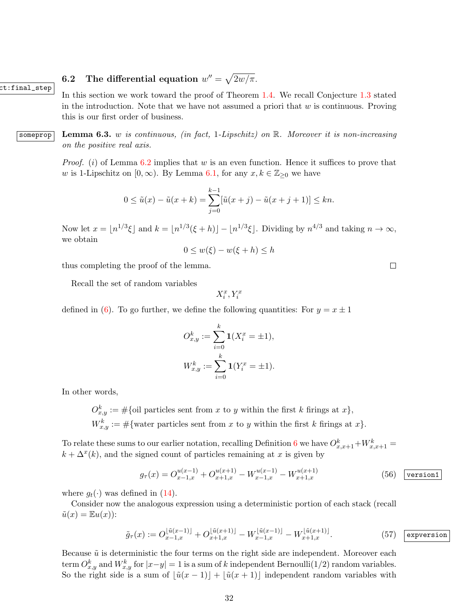# <span id="page-31-3"></span>**6.2** The differential equation  $w'' = \sqrt{2w/\pi}$ .

In this section we work toward the proof of Theorem [1.4.](#page-1-3) We recall Conjecture [1.3](#page-0-0) stated in the introduction. Note that we have not assumed a priori that  $w$  is continuous. Proving this is our first order of business.

some prop Lemma 6.3. w is continuous, (in fact, 1-Lipschitz) on  $\mathbb{R}$ . Moreover it is non-increasing on the positive real axis.

> <span id="page-31-2"></span>*Proof.* (i) of Lemma [6.2](#page-30-1) implies that w is an even function. Hence it suffices to prove that w is 1-Lipschitz on  $[0, \infty)$ . By Lemma [6.1,](#page-30-2) for any  $x, k \in \mathbb{Z}_{\geq 0}$  we have

$$
0 \leq \tilde{u}(x) - \tilde{u}(x+k) = \sum_{j=0}^{k-1} [\tilde{u}(x+j) - \tilde{u}(x+j+1)] \leq kn.
$$

Now let  $x = \lfloor n^{1/3}\xi \rfloor$  and  $k = \lfloor n^{1/3}(\xi + h) \rfloor - \lfloor n^{1/3}\xi \rfloor$ . Dividing by  $n^{4/3}$  and taking  $n \to \infty$ , we obtain

$$
0 \le w(\xi) - w(\xi + h) \le h
$$

thus completing the proof of the lemma.

Recall the set of random variables

$$
X_i^x, Y_i^x
$$

defined in [\(6\)](#page-6-1). To go further, we define the following quantities: For  $y = x \pm 1$ 

$$
O_{x,y}^k := \sum_{i=0}^k \mathbf{1}(X_i^x = \pm 1),
$$
  

$$
W_{x,y}^k := \sum_{i=0}^k \mathbf{1}(Y_i^x = \pm 1).
$$

In other words,

 $ct:final\_step$ 

 $O_{x,y}^k := \#\{\text{oil particles sent from } x \text{ to } y \text{ within the first } k \text{ firings at } x\},\$  $W_{x,y}^k := \# \{\text{water particles sent from } x \text{ to } y \text{ within the first } k \text{ firings at } x\}.$ 

To relate these sums to our earlier notation, recalling Definition [6](#page-15-8) we have  $O_{x,x+1}^k + W_{x,x+1}^k =$  $k + \Delta^x(k)$ , and the signed count of particles remaining at x is given by

<span id="page-31-0"></span>
$$
g_{\tau}(x) = O_{x-1,x}^{u(x-1)} + O_{x+1,x}^{u(x+1)} - W_{x-1,x}^{u(x-1)} - W_{x+1,x}^{u(x+1)}
$$
(56)  $\boxed{\text{version1}}$ 

where  $g_t(\cdot)$  was defined in [\(14\)](#page-9-3).

Consider now the analogous expression using a deterministic portion of each stack (recall  $\tilde{u}(x) = \mathbb{E}u(x)$ :

<span id="page-31-1"></span>
$$
\tilde{g}_{\tau}(x) := O_{x-1,x}^{\lfloor \tilde{u}(x-1) \rfloor} + O_{x+1,x}^{\lfloor \tilde{u}(x+1) \rfloor} - W_{x-1,x}^{\lfloor \tilde{u}(x-1) \rfloor} - W_{x+1,x}^{\lfloor \tilde{u}(x+1) \rfloor}.
$$
\n<sup>(57)</sup> **expression**

Because  $\tilde{u}$  is deterministic the four terms on the right side are independent. Moreover each term  $O_{x,y}^k$  and  $W_{x,y}^k$  for  $|x-y|=1$  is a sum of k independent Bernoulli(1/2) random variables. So the right side is a sum of  $\left|\tilde{u}(x - 1)\right| + \left|\tilde{u}(x + 1)\right|$  independent random variables with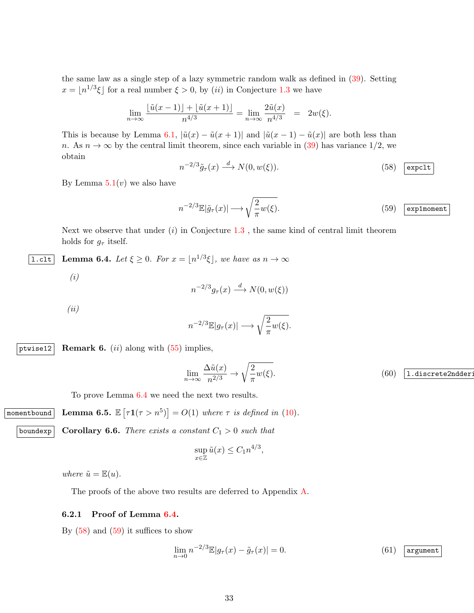the same law as a single step of a lazy symmetric random walk as defined in [\(39\)](#page-25-1). Setting  $x = |n^{1/3}\xi|$  for a real number  $\xi > 0$ , by *(ii)* in Conjecture [1.3](#page-0-0) we have

$$
\lim_{n \to \infty} \frac{\lfloor \tilde{u}(x-1) \rfloor + \lfloor \tilde{u}(x+1) \rfloor}{n^{4/3}} = \lim_{n \to \infty} \frac{2\tilde{u}(x)}{n^{4/3}} = 2w(\xi).
$$

This is because by Lemma [6.1,](#page-30-2)  $|\tilde{u}(x) - \tilde{u}(x+1)|$  and  $|\tilde{u}(x-1) - \tilde{u}(x)|$  are both less than n. As  $n \to \infty$  by the central limit theorem, since each variable in [\(39\)](#page-25-1) has variance 1/2, we obtain

<span id="page-32-1"></span>
$$
n^{-2/3}\tilde{g}_{\tau}(x) \stackrel{d}{\longrightarrow} N(0, w(\xi)).\tag{58}
$$

By Lemma  $5.1(v)$  $5.1(v)$  we also have

<span id="page-32-2"></span>
$$
n^{-2/3} \mathbb{E}|\tilde{g}_{\tau}(x)| \longrightarrow \sqrt{\frac{2}{\pi}w(\xi)}.
$$
 (59) exponent

<span id="page-32-0"></span>Next we observe that under  $(i)$  in Conjecture [1.3](#page-0-0), the same kind of central limit theorem holds for  $g_{\tau}$  itself.

**1.clt** Lemma 6.4. Let  $\xi \geq 0$ . For  $x = \lfloor n^{1/3}\xi \rfloor$ , we have as  $n \to \infty$ 

$$
n^{-2/3}g_{\tau}(x)\stackrel{d}{\longrightarrow} N(0,w(\xi))
$$

(ii)

(i)

$$
n^{-2/3}\mathbb{E}|g_{\tau}(x)| \longrightarrow \sqrt{\frac{2}{\pi}w(\xi)}.
$$

ptwise12 Remark 6.  $(ii)$  along with  $(55)$  implies,

<span id="page-32-6"></span>
$$
\lim_{n \to \infty} \frac{\Delta \tilde{u}(x)}{n^{2/3}} \to \sqrt{\frac{2}{\pi} w(\xi)}.
$$
\n(60) [1.discrete2ndder]

<span id="page-32-4"></span><span id="page-32-3"></span>To prove Lemma [6.4](#page-32-0) we need the next two results.

momentbound Lemma 6.5.  $\mathbb{E}[\tau 1(\tau > n^5)] = O(1)$  where  $\tau$  is defined in [\(10\)](#page-7-4).

boundexp Corollary 6.6. There exists a constant  $C_1 > 0$  such that

$$
\sup_{x \in \mathbb{Z}} \tilde{u}(x) \le C_1 n^{4/3}
$$

,

where  $\tilde{u} = \mathbb{E}(u)$ .

The proofs of the above two results are deferred to Appendix [A.](#page-41-1)

#### 6.2.1 Proof of Lemma [6.4.](#page-32-0)

By  $(58)$  and  $(59)$  it suffices to show

<span id="page-32-5"></span>
$$
\lim_{n \to 0} n^{-2/3} \mathbb{E} |g_{\tau}(x) - \tilde{g}_{\tau}(x)| = 0.
$$
\n(61)  $\boxed{\text{argument}}$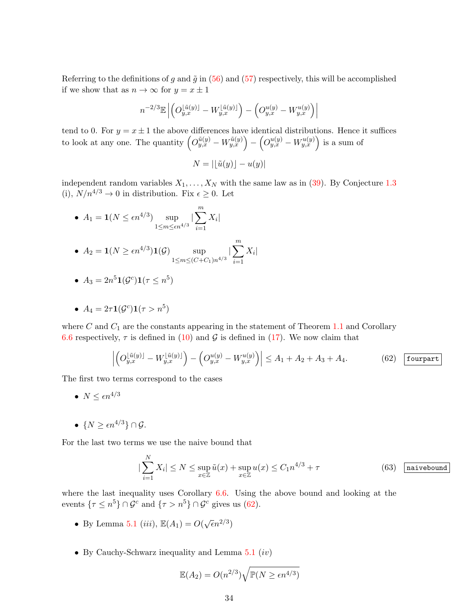Referring to the definitions of g and  $\tilde{g}$  in [\(56\)](#page-31-0) and [\(57\)](#page-31-1) respectively, this will be accomplished if we show that as  $n \to \infty$  for  $y = x \pm 1$ 

$$
n^{-2/3} \mathbb{E}\left|\left(O_{y,x}^{\lfloor \tilde{u}(y) \rfloor} - W_{y,x}^{\lfloor \tilde{u}(y) \rfloor}\right) - \left(O_{y,x}^{u(y)} - W_{y,x}^{u(y)}\right)\right|
$$

tend to 0. For  $y = x \pm 1$  the above differences have identical distributions. Hence it suffices to look at any one. The quantity  $\left(O_{y,x}^{\tilde{u}(y)}-W_{y,x}^{\tilde{u}(y)}\right)-\left(O_{y,x}^{u(y)}-W_{y,x}^{u(y)}\right)$  is a sum of

 $N = ||\tilde{u}(y) - u(y)||$ 

independent random variables  $X_1, \ldots, X_N$  with the same law as in [\(39\)](#page-25-1). By Conjecture [1.3](#page-0-0) (i),  $N/n^{4/3} \rightarrow 0$  in distribution. Fix  $\epsilon \geq 0$ . Let

\n- \n
$$
A_1 = \mathbf{1}(N \leq \epsilon n^{4/3}) \sup_{1 \leq m \leq \epsilon n^{4/3}} |\sum_{i=1}^m X_i|
$$
\n
\n- \n
$$
A_2 = \mathbf{1}(N \geq \epsilon n^{4/3}) \mathbf{1}(G) \sup_{1 \leq m \leq (C+C_1)n^{4/3}} |\sum_{i=1}^m X_i|
$$
\n
\n- \n
$$
A_3 = 2n^5 \mathbf{1}(G^c) \mathbf{1}(\tau \leq n^5)
$$
\n
\n

• 
$$
A_4 = 2\tau \mathbf{1}(\mathcal{G}^c)\mathbf{1}(\tau > n^5)
$$

where  $C$  and  $C_1$  are the constants appearing in the statement of Theorem [1.1](#page-1-0) and Corollary [6.6](#page-32-3) respectively,  $\tau$  is defined in [\(10\)](#page-7-4) and  $\mathcal G$  is defined in [\(17\)](#page-11-3). We now claim that

<span id="page-33-0"></span>
$$
\left| \left( O_{y,x}^{[\tilde{u}(y)]} - W_{y,x}^{[\tilde{u}(y)]} \right) - \left( O_{y,x}^{u(y)} - W_{y,x}^{u(y)} \right) \right| \le A_1 + A_2 + A_3 + A_4. \tag{62} \text{fourpart}
$$

The first two terms correspond to the cases

$$
\bullet \ \ N \le \epsilon n^{4/3}
$$

• 
$$
{N \geq \epsilon n^{4/3}} \cap \mathcal{G}.
$$

For the last two terms we use the naive bound that

$$
|\sum_{i=1}^{N} X_i| \le N \le \sup_{x \in \mathbb{Z}} \tilde{u}(x) + \sup_{x \in \mathbb{Z}} u(x) \le C_1 n^{4/3} + \tau
$$
 (63) naivebound

where the last inequality uses Corollary [6.6.](#page-32-3) Using the above bound and looking at the events  $\{\tau \leq n^5\} \cap \mathcal{G}^c$  and  $\{\tau > n^5\} \cap \mathcal{G}^c$  gives us [\(62\)](#page-33-0).

- By Lemma [5.1](#page-0-0) (*iii*),  $\mathbb{E}(A_1) = O(\sqrt{\epsilon}n^{2/3})$
- By Cauchy-Schwarz inequality and Lemma  $5.1$   $(iv)$

$$
\mathbb{E}(A_2) = O(n^{2/3})\sqrt{\mathbb{P}(N \ge \epsilon n^{4/3})}
$$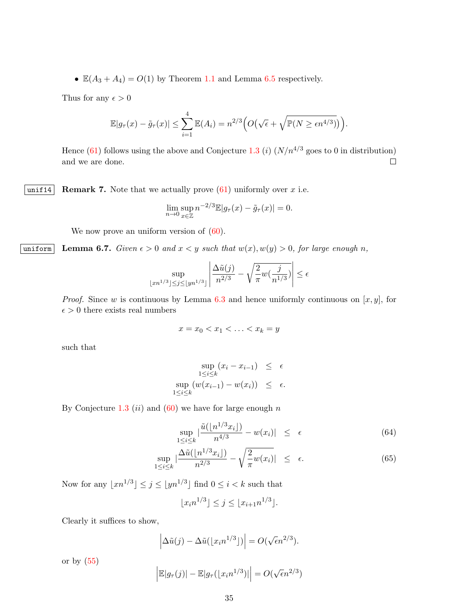•  $\mathbb{E}(A_3 + A_4) = O(1)$  by Theorem [1.1](#page-1-0) and Lemma [6.5](#page-32-4) respectively.

Thus for any  $\epsilon > 0$ 

$$
\mathbb{E}|g_{\tau}(x) - \tilde{g}_{\tau}(x)| \leq \sum_{i=1}^{4} \mathbb{E}(A_i) = n^{2/3} \Big( O\big(\sqrt{\epsilon} + \sqrt{\mathbb{P}(N \geq \epsilon n^{4/3})}\big) \Big).
$$

<span id="page-34-0"></span>Hence [\(61\)](#page-32-5) follows using the above and Conjecture [1.3](#page-0-0) (i)  $(N/n^{4/3}$  goes to 0 in distribution)  $\Box$ and we are done.

| unif14 | **Remark 7.** Note that we actually prove  $(61)$  uniformly over x i.e.

$$
\lim_{n \to 0} \sup_{x \in \mathbb{Z}} n^{-2/3} \mathbb{E} |g_\tau(x) - \tilde{g}_\tau(x)| = 0.
$$

<span id="page-34-2"></span>We now prove an uniform version of  $(60)$ .

|uniform| Lemma 6.7. Given  $\epsilon > 0$  and  $x < y$  such that  $w(x), w(y) > 0$ , for large enough n,

$$
\sup_{\lfloor xn^{1/3}\rfloor\leq j\leq\lfloor yn^{1/3}\rfloor} \left|\frac{\Delta\tilde{u}(j)}{n^{2/3}}-\sqrt{\frac{2}{\pi}w(\frac{j}{n^{1/3}})}\right| \leq \epsilon
$$

*Proof.* Since w is continuous by Lemma [6.3](#page-31-2) and hence uniformly continuous on  $[x, y]$ , for  $\epsilon>0$  there exists real numbers

$$
x = x_0 < x_1 < \ldots < x_k = y
$$

such that

$$
\sup_{1 \le i \le k} (x_i - x_{i-1}) \le \epsilon
$$
  
\n
$$
\sup_{1 \le i \le k} (w(x_{i-1}) - w(x_i)) \le \epsilon.
$$

By Conjecture [1.3](#page-0-0)  $(ii)$  and  $(60)$  we have for large enough n

<span id="page-34-1"></span>
$$
\sup_{1 \le i \le k} |\frac{\tilde{u}(\lfloor n^{1/3}x_i \rfloor)}{n^{4/3}} - w(x_i)| \le \epsilon \tag{64}
$$

$$
\sup_{1 \le i \le k} \left| \frac{\Delta \tilde{u}(\lfloor n^{1/3} x_i \rfloor)}{n^{2/3}} - \sqrt{\frac{2}{\pi} w(x_i)} \right| \le \epsilon. \tag{65}
$$

Now for any  $|xn^{1/3}| \leq j \leq |yn^{1/3}|$  find  $0 \leq i < k$  such that

$$
\lfloor x_i n^{1/3} \rfloor \le j \le \lfloor x_{i+1} n^{1/3} \rfloor.
$$

Clearly it suffices to show,

$$
\left|\Delta \tilde{u}(j) - \Delta \tilde{u}(\lfloor x_i n^{1/3} \rfloor)\right| = O(\sqrt{\epsilon}n^{2/3}).
$$

or by  $(55)$ 

$$
\left| \mathbb{E} |g_{\tau}(j)| - \mathbb{E} |g_{\tau}(\lfloor x_i n^{1/3})| \right| = O(\sqrt{\epsilon} n^{2/3})
$$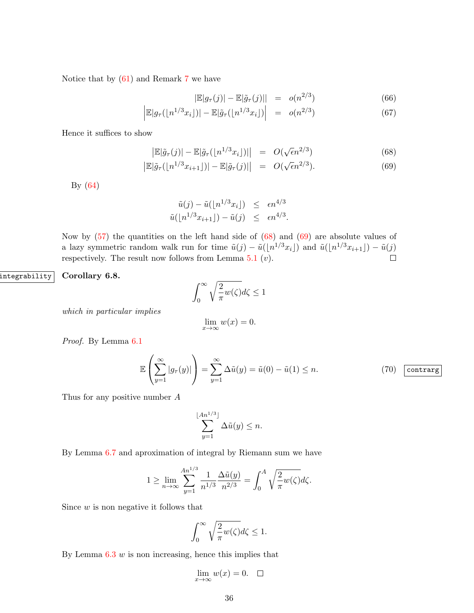Notice that by [\(61\)](#page-32-5) and Remark [7](#page-34-0) we have

$$
|\mathbb{E}|g_{\tau}(j)| - \mathbb{E}|\tilde{g}_{\tau}(j)|| = o(n^{2/3}) \tag{66}
$$

$$
\left| \mathbb{E} |g_\tau(\lfloor n^{1/3} x_i \rfloor)| - \mathbb{E} |\tilde{g}_\tau(\lfloor n^{1/3} x_i \rfloor)| \right| = o(n^{2/3}) \tag{67}
$$

Hence it suffices to show

<span id="page-35-0"></span>
$$
\left| \mathbb{E} |\tilde{g}_{\tau}(j)| - \mathbb{E} |\tilde{g}_{\tau}(\lfloor n^{1/3} x_i \rfloor)| \right| = O(\sqrt{\epsilon} n^{2/3}) \tag{68}
$$

$$
\left| \mathbb{E} |\tilde{g}_{\tau}(|n^{1/3}x_{i+1}|)| - \mathbb{E} |\tilde{g}_{\tau}(j)| \right| = O(\sqrt{\epsilon}n^{2/3}). \tag{69}
$$

By [\(64\)](#page-34-1)

$$
\tilde{u}(j) - \tilde{u}(\lfloor n^{1/3}x_i \rfloor) \leq \epsilon n^{4/3}
$$
  

$$
\tilde{u}(\lfloor n^{1/3}x_{i+1} \rfloor) - \tilde{u}(j) \leq \epsilon n^{4/3}.
$$

<span id="page-35-1"></span>Now by  $(57)$  the quantities on the left hand side of  $(68)$  and  $(69)$  are absolute values of a lazy symmetric random walk run for time  $\tilde{u}(j) - \tilde{u}(\lfloor n^{1/3}x_i \rfloor)$  and  $\tilde{u}(\lfloor n^{1/3}x_{i+1} \rfloor) - \tilde{u}(j)$ respectively. The result now follows from Lemma  $5.1(v)$  $5.1(v)$ .  $\Box$ 

#### integrability Corollary 6.8.

$$
\int_0^\infty \sqrt{\frac{2}{\pi}w(\zeta)}d\zeta \le 1
$$

which in particular implies

$$
\lim_{x \to \infty} w(x) = 0.
$$

Proof. By Lemma [6.1](#page-30-2)

$$
\mathbb{E}\left(\sum_{y=1}^{\infty} |g_{\tau}(y)|\right) = \sum_{y=1}^{\infty} \Delta \tilde{u}(y) = \tilde{u}(0) - \tilde{u}(1) \le n.
$$
 (70) contrarg

Thus for any positive number A

$$
\sum_{y=1}^{\lfloor An^{1/3} \rfloor} \Delta \tilde{u}(y) \leq n.
$$

By Lemma [6.7](#page-34-2) and aproximation of integral by Riemann sum we have

$$
1 \ge \lim_{n \to \infty} \sum_{y=1}^{An^{1/3}} \frac{1}{n^{1/3}} \frac{\Delta \tilde{u}(y)}{n^{2/3}} = \int_0^A \sqrt{\frac{2}{\pi} w(\zeta)} d\zeta.
$$

Since  $w$  is non negative it follows that

$$
\int_0^\infty \sqrt{\frac{2}{\pi}w(\zeta)}d\zeta \le 1.
$$

By Lemma  $6.3$   $w$  is non increasing, hence this implies that

$$
\lim_{x \to \infty} w(x) = 0. \quad \Box
$$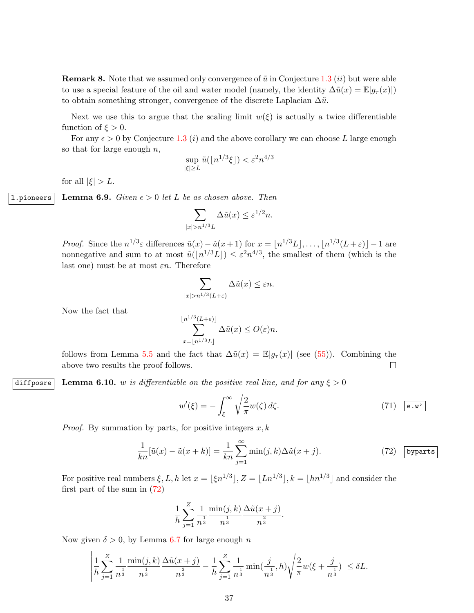**Remark 8.** Note that we assumed only convergence of  $\tilde{u}$  in Conjecture [1.3](#page-0-0) (*ii*) but were able to use a special feature of the oil and water model (namely, the identity  $\Delta \tilde{u}(x) = \mathbb{E}[g_{\tau}(x)]$ ) to obtain something stronger, convergence of the discrete Laplacian  $\Delta\tilde{u}$ .

Next we use this to argue that the scaling limit  $w(\xi)$  is actually a twice differentiable function of  $\xi > 0$ .

For any  $\epsilon > 0$  by Conjecture [1.3](#page-0-0) (*i*) and the above corollary we can choose L large enough so that for large enough  $n$ ,

$$
\sup_{|\xi| \ge L} \tilde{u}(\lfloor n^{1/3}\xi \rfloor) < \varepsilon^2 n^{4/3}
$$

<span id="page-36-1"></span>for all  $|\xi| > L$ .

1. pioneers Lemma 6.9. Given  $\epsilon > 0$  let L be as chosen above. Then

$$
\sum_{|x|>n^{1/3}L} \Delta \tilde{u}(x) \le \varepsilon^{1/2} n.
$$

*Proof.* Since the  $n^{1/3}\varepsilon$  differences  $\tilde{u}(x) - \tilde{u}(x+1)$  for  $x = \lfloor n^{1/3}L \rfloor, \ldots, \lfloor n^{1/3}(L+\varepsilon) \rfloor - 1$  are nonnegative and sum to at most  $\tilde{u}(|n^{1/3}L|) \leq \varepsilon^2 n^{4/3}$ , the smallest of them (which is the last one) must be at most  $\varepsilon n$ . Therefore

$$
\sum_{|x|>n^{1/3}(L+\varepsilon)} \Delta \tilde{u}(x) \le \varepsilon n.
$$

Now the fact that

$$
\sum_{x=\lfloor n^{1/3}L\rfloor}^{\lfloor n^{1/3}(L+\varepsilon)\rfloor} \Delta \tilde{u}(x) \le O(\varepsilon) n.
$$

<span id="page-36-3"></span>follows from Lemma [5.5](#page-28-2) and the fact that  $\Delta \tilde{u}(x) = \mathbb{E}[g_{\tau}(x)]$  (see [\(55\)](#page-30-3)). Combining the above two results the proof follows.  $\Box$ 

diffposre Lemma 6.10. w is differentiable on the positive real line, and for any  $\xi > 0$ 

<span id="page-36-2"></span>
$$
w'(\xi) = -\int_{\xi}^{\infty} \sqrt{\frac{2}{\pi} w(\zeta)} d\zeta.
$$
 (71)  $\boxed{\mathbf{e}.\mathbf{w'}}$ 

*Proof.* By summation by parts, for positive integers  $x, k$ 

<span id="page-36-0"></span>
$$
\frac{1}{kn}[\tilde{u}(x) - \tilde{u}(x+k)] = \frac{1}{kn} \sum_{j=1}^{\infty} \min(j,k) \Delta \tilde{u}(x+j).
$$
 (72) [byparts]

For positive real numbers  $\xi, L, h$  let  $x = |\xi n^{1/3}|$ ,  $Z = |Ln^{1/3}|$ ,  $k = |hn^{1/3}|$  and consider the first part of the sum in [\(72\)](#page-36-0)

$$
\frac{1}{h} \sum_{j=1}^{Z} \frac{1}{n^{\frac{1}{3}}} \frac{\min(j,k)}{n^{\frac{1}{3}}} \frac{\Delta \tilde{u}(x+j)}{n^{\frac{2}{3}}}.
$$

Now given  $\delta > 0$ , by Lemma [6.7](#page-34-2) for large enough n

$$
\left| \frac{1}{h} \sum_{j=1}^Z \frac{1}{n^{\frac{1}{3}}} \frac{\min(j,k)}{n^{\frac{1}{3}}} \frac{\Delta \tilde{u}(x+j)}{n^{\frac{2}{3}}} - \frac{1}{h} \sum_{j=1}^Z \frac{1}{n^{\frac{1}{3}}} \min(\frac{j}{n^{\frac{1}{3}}},h) \sqrt{\frac{2}{\pi} w (\xi + \frac{j}{n^{\frac{1}{3}}})} \right| \leq \delta L.
$$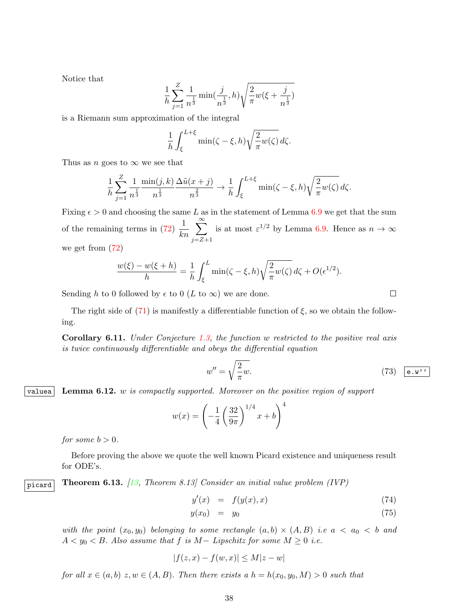Notice that

$$
\frac{1}{h}\sum_{j=1}^{Z}\frac{1}{n^{\frac{1}{3}}}\min(\frac{j}{n^{\frac{1}{3}}},h)\sqrt{\frac{2}{\pi}w(\xi+\frac{j}{n^{\frac{1}{3}}})}
$$

is a Riemann sum approximation of the integral

$$
\frac{1}{h} \int_{\xi}^{L+\xi} \min(\zeta - \xi, h) \sqrt{\frac{2}{\pi} w(\zeta)} d\zeta.
$$

Thus as n goes to  $\infty$  we see that

$$
\frac{1}{h} \sum_{j=1}^{Z} \frac{1}{n^{\frac{1}{3}}} \frac{\min(j,k)}{n^{\frac{1}{3}}} \frac{\Delta \tilde{u}(x+j)}{n^{\frac{2}{3}}} \to \frac{1}{h} \int_{\xi}^{L+\xi} \min(\zeta - \xi, h) \sqrt{\frac{2}{\pi} w(\zeta)} d\zeta.
$$

Fixing  $\epsilon > 0$  and choosing the same L as in the statement of Lemma [6.9](#page-36-1) we get that the sum of the remaining terms in  $(72)$   $\frac{1}{1}$ kn  $\sum^{\infty}$  $j = Z + 1$ is at most  $\varepsilon^{1/2}$  by Lemma [6.9.](#page-36-1) Hence as  $n \to \infty$ we get from [\(72\)](#page-36-0)

$$
\frac{w(\xi) - w(\xi + h)}{h} = \frac{1}{h} \int_{\xi}^{L} \min(\zeta - \xi, h) \sqrt{\frac{2}{\pi} w(\zeta)} d\zeta + O(\epsilon^{1/2}).
$$

Sending h to 0 followed by  $\epsilon$  to 0 (L to  $\infty$ ) we are done.

The right side of  $(71)$  is manifestly a differentiable function of  $\xi$ , so we obtain the following.

Corollary 6.11. Under Conjecture [1.3,](#page-0-0) the function w restricted to the positive real axis is twice continuously differentiable and obeys the differential equation

<span id="page-37-1"></span>
$$
w'' = \sqrt{\frac{2}{\pi}w}.\tag{73}
$$

 $\Box$ 

<span id="page-37-0"></span>valuea Lemma  $6.12.$  w is compactly supported. Moreover on the positive region of support

$$
w(x) = \left(-\frac{1}{4} \left(\frac{32}{9\pi}\right)^{1/4} x + b\right)^4
$$

for some  $b > 0$ .

<span id="page-37-2"></span>Before proving the above we quote the well known Picard existence and uniqueness result for ODE's.

 $\overline{picard}$  Theorem 6.13. [\[13,](#page-44-14) Theorem 8.13] Consider an initial value problem (IVP)

$$
y'(x) = f(y(x), x) \tag{74}
$$

$$
y(x_0) = y_0 \tag{75}
$$

with the point  $(x_0, y_0)$  belonging to some rectangle  $(a, b) \times (A, B)$  i.e  $a < a_0 < b$  and  $A < y_0 < B$ . Also assume that f is M – Lipschitz for some  $M \geq 0$  i.e.

 $|f(z, x) - f(w, x)| \le M |z - w|$ 

for all  $x \in (a, b)$   $z, w \in (A, B)$ . Then there exists a  $h = h(x_0, y_0, M) > 0$  such that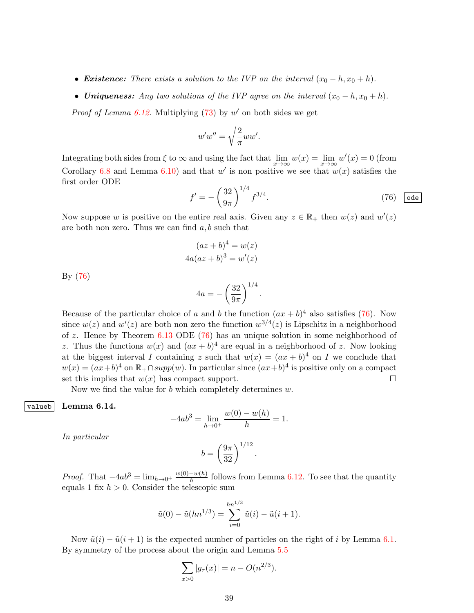- Existence: There exists a solution to the IVP on the interval  $(x_0 h, x_0 + h)$ .
- Uniqueness: Any two solutions of the IVP agree on the interval  $(x_0 h, x_0 + h)$ .

*Proof of Lemma [6.12](#page-37-0).* Multiplying  $(73)$  by w' on both sides we get

$$
w'w'' = \sqrt{\frac{2}{\pi}}ww'.
$$

Integrating both sides from  $\xi$  to  $\infty$  and using the fact that  $\lim_{x\to\infty}w(x) = \lim_{x\to\infty}w'(x) = 0$  (from Corollary [6.8](#page-35-1) and Lemma [6.10\)](#page-36-3) and that w' is non positive we see that  $w(x)$  satisfies the first order ODE

<span id="page-38-0"></span>
$$
f' = -\left(\frac{32}{9\pi}\right)^{1/4} f^{3/4}.
$$
 (76) ode

Now suppose w is positive on the entire real axis. Given any  $z \in \mathbb{R}_+$  then  $w(z)$  and  $w'(z)$ are both non zero. Thus we can find  $a, b$  such that

$$
(az+b)^4 = w(z)
$$

$$
4a(az+b)^3 = w'(z)
$$

By [\(76\)](#page-38-0)

$$
4a = -\left(\frac{32}{9\pi}\right)^{1/4}.
$$

Because of the particular choice of a and b the function  $(ax + b)^4$  also satisfies [\(76\)](#page-38-0). Now since  $w(z)$  and  $w'(z)$  are both non zero the function  $w^{3/4}(z)$  is Lipschitz in a neighborhood of z. Hence by Theorem  $6.13$  ODE [\(76\)](#page-38-0) has an unique solution in some neighborhood of z. Thus the functions  $w(x)$  and  $(ax + b)^4$  are equal in a neighborhood of z. Now looking at the biggest interval I containing z such that  $w(x) = (ax + b)^4$  on I we conclude that  $w(x) = (ax+b)^4$  on  $\mathbb{R}_+ \cap supp(w)$ . In particular since  $(ax+b)^4$  is positive only on a compact set this implies that  $w(x)$  has compact support.  $\Box$ 

Now we find the value for b which completely determines w.

# valueb Lemma 6.14

<span id="page-38-1"></span>
$$
_{\rm emma\ 6.14.}
$$

$$
-4ab^3 = \lim_{h \to 0^+} \frac{w(0) - w(h)}{h} = 1.
$$

In particular

$$
b = \left(\frac{9\pi}{32}\right)^{1/12}.
$$

*Proof.* That  $-4ab^3 = \lim_{h \to 0^+} \frac{w(0) - w(h)}{h}$  $\frac{-w(n)}{h}$  follows from Lemma [6.12.](#page-37-0) To see that the quantity equals 1 fix  $h > 0$ . Consider the telescopic sum

$$
\tilde{u}(0) - \tilde{u}(hn^{1/3}) = \sum_{i=0}^{hn^{1/3}} \tilde{u}(i) - \tilde{u}(i+1).
$$

Now  $\tilde{u}(i) - \tilde{u}(i+1)$  is the expected number of particles on the right of i by Lemma [6.1.](#page-30-2) By symmetry of the process about the origin and Lemma [5.5](#page-28-2)

$$
\sum_{x>0} |g_{\tau}(x)| = n - O(n^{2/3}).
$$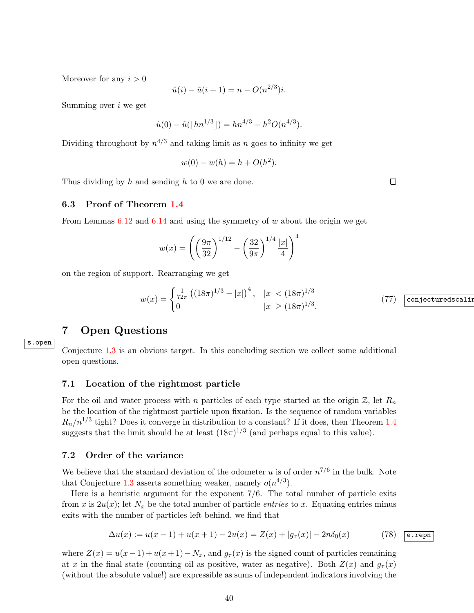Moreover for any  $i > 0$ 

$$
\tilde{u}(i) - \tilde{u}(i+1) = n - O(n^{2/3})i.
$$

Summing over i we get

$$
\tilde{u}(0) - \tilde{u}(\lfloor hn^{1/3}\rfloor) = hn^{4/3} - h^2O(n^{4/3}).
$$

Dividing throughout by  $n^{4/3}$  and taking limit as n goes to infinity we get

$$
w(0) - w(h) = h + O(h^2).
$$

Thus dividing by  $h$  and sending  $h$  to 0 we are done.

## 6.3 Proof of Theorem [1.4](#page-1-3)

From Lemmas  $6.12$  and  $6.14$  and using the symmetry of w about the origin we get

$$
w(x) = \left( \left(\frac{9\pi}{32}\right)^{1/12} - \left(\frac{32}{9\pi}\right)^{1/4} \frac{|x|}{4} \right)^4
$$

on the region of support. Rearranging we get

$$
w(x) = \begin{cases} \frac{1}{72\pi} \left( (18\pi)^{1/3} - |x| \right)^4, & |x| < (18\pi)^{1/3} \\ 0 & |x| \ge (18\pi)^{1/3}. \end{cases} \tag{77}
$$
  $\boxed{\text{conjecturedscalar}}$ 

# <span id="page-39-0"></span>7 Open Questions

s.open Conjecture [1.3](#page-0-0) is an obvious target. In this concluding section we collect some additional open questions.

#### 7.1 Location of the rightmost particle

For the oil and water process with n particles of each type started at the origin  $\mathbb{Z}$ , let  $R_n$ be the location of the rightmost particle upon fixation. Is the sequence of random variables  $R_n/n^{1/3}$  tight? Does it converge in distribution to a constant? If it does, then Theorem [1.4](#page-1-3) suggests that the limit should be at least  $(18\pi)^{1/3}$  (and perhaps equal to this value).

### 7.2 Order of the variance

We believe that the standard deviation of the odometer u is of order  $n^{7/6}$  in the bulk. Note that Conjecture [1.3](#page-0-0) asserts something weaker, namely  $o(n^{4/3})$ .

Here is a heuristic argument for the exponent 7/6. The total number of particle exits from x is  $2u(x)$ ; let  $N_x$  be the total number of particle *entries* to x. Equating entries minus exits with the number of particles left behind, we find that

$$
\Delta u(x) := u(x-1) + u(x+1) - 2u(x) = Z(x) + |g_{\tau}(x)| - 2n\delta_0(x) \tag{78}
$$

where  $Z(x) = u(x-1) + u(x+1) - N_x$ , and  $g_{\tau}(x)$  is the signed count of particles remaining at x in the final state (counting oil as positive, water as negative). Both  $Z(x)$  and  $g<sub>\tau</sub>(x)$ (without the absolute value!) are expressible as sums of independent indicators involving the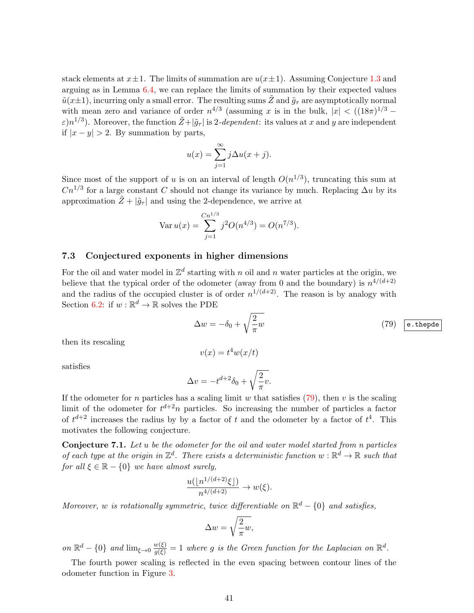stack elements at  $x \pm 1$ . The limits of summation are  $u(x \pm 1)$ . Assuming Conjecture [1.3](#page-0-0) and arguing as in Lemma [6.4,](#page-32-0) we can replace the limits of summation by their expected values  $\tilde{u}(x\pm 1)$ , incurring only a small error. The resulting sums  $\tilde{Z}$  and  $\tilde{g}_{\tau}$  are asymptotically normal with mean zero and variance of order  $n^{4/3}$  (assuming x is in the bulk,  $|x| < ((18\pi)^{1/3} \varepsilon$ )n<sup>1/3</sup>). Moreover, the function  $\tilde{Z} + |\tilde{g}_{\tau}|$  is 2-dependent: its values at x and y are independent if  $|x-y| > 2$ . By summation by parts,

$$
u(x) = \sum_{j=1}^{\infty} j \Delta u(x+j).
$$

Since most of the support of u is on an interval of length  $O(n^{1/3})$ , truncating this sum at  $Cn^{1/3}$  for a large constant C should not change its variance by much. Replacing  $\Delta u$  by its approximation  $\tilde{Z} + |\tilde{q}_{\tau}|$  and using the 2-dependence, we arrive at

$$
\text{Var } u(x) = \sum_{j=1}^{Cn^{1/3}} j^2 O(n^{4/3}) = O(n^{7/3}).
$$

### 7.3 Conjectured exponents in higher dimensions

For the oil and water model in  $\mathbb{Z}^d$  starting with n oil and n water particles at the origin, we believe that the typical order of the odometer (away from 0 and the boundary) is  $n^{4/(d+2)}$ and the radius of the occupied cluster is of order  $n^{1/(d+2)}$ . The reason is by analogy with Section [6.2:](#page-31-3) if  $w : \mathbb{R}^d \to \mathbb{R}$  solves the PDE

<span id="page-40-0"></span>
$$
\Delta w = -\delta_0 + \sqrt{\frac{2}{\pi}}w \tag{79}
$$

then its rescaling

$$
v(x) = t^4 w(x/t)
$$

satisfies

$$
\Delta v = -t^{d+2}\delta_0 + \sqrt{\frac{2}{\pi}}v.
$$

If the odometer for n particles has a scaling limit w that satisfies [\(79\)](#page-40-0), then v is the scaling limit of the odometer for  $t^{d+2}n$  particles. So increasing the number of particles a factor of  $t^{d+2}$  increases the radius by by a factor of t and the odometer by a factor of  $t^4$ . This motivates the following conjecture.

Conjecture 7.1. Let u be the odometer for the oil and water model started from n particles of each type at the origin in  $\mathbb{Z}^d$ . There exists a deterministic function  $w : \mathbb{R}^d \to \mathbb{R}$  such that for all  $\xi \in \mathbb{R} - \{0\}$  we have almost surely,

$$
\frac{u(\lfloor n^{1/(d+2)}\xi\rfloor)}{n^{4/(d+2)}}\to w(\xi).
$$

Moreover, w is rotationally symmetric, twice differentiable on  $\mathbb{R}^d$  – {0} and satisfies,

$$
\Delta w = \sqrt{\frac{2}{\pi}} w,
$$

on  $\mathbb{R}^d - \{0\}$  and  $\lim_{\xi \to 0} \frac{w(\xi)}{g(\xi)} = 1$  where g is the Green function for the Laplacian on  $\mathbb{R}^d$ .

The fourth power scaling is reflected in the even spacing between contour lines of the odometer function in Figure [3.](#page-41-2)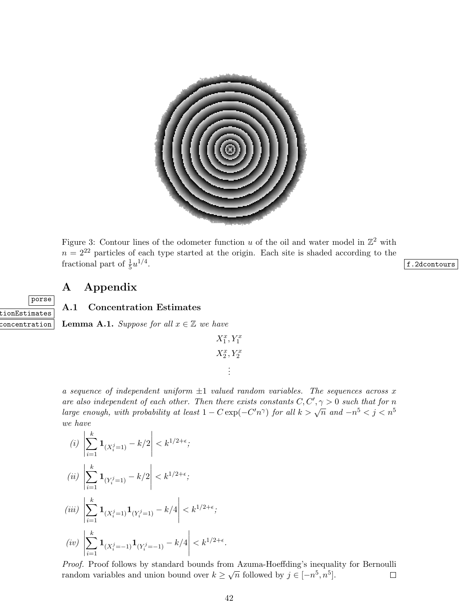

Figure 3: Contour lines of the odometer function u of the oil and water model in  $\mathbb{Z}^2$  with  $n = 2^{22}$  particles of each type started at the origin. Each site is shaded according to the fractional part of  $\frac{1}{5}u^{1/4}$ 

. f.2dcontours

# <span id="page-41-2"></span><span id="page-41-1"></span>A Appendix

porse

tionEstimates

<span id="page-41-0"></span>A.1 Concentration Estimates

concentration Lemma A.1. Suppose for all  $x \in \mathbb{Z}$  we have

$$
X_1^x, Y_1^x
$$

$$
X_2^x, Y_2^x
$$

$$
\vdots
$$

a sequence of independent uniform  $\pm 1$  valued random variables. The sequences across x are also independent of each other. Then there exists constants  $C, C', \gamma > 0$  such that for n are also independent of each other. Then there exists constants  $C, C, \frac{1}{2} > 0$  such that for higher than  $\frac{1}{2}$  and  $-\frac{n}{2} < \frac{n}{2} < n^5$ we have

(i) 
$$
\left| \sum_{i=1}^{k} \mathbf{1}_{(X_i^j = 1)} - k/2 \right| < k^{1/2 + \epsilon};
$$
  
\n(ii) 
$$
\left| \sum_{i=1}^{k} \mathbf{1}_{(Y_i^j = 1)} - k/2 \right| < k^{1/2 + \epsilon};
$$
  
\n(iii) 
$$
\left| \sum_{i=1}^{k} \mathbf{1}_{(X_i^j = 1)} \mathbf{1}_{(Y_i^j = 1)} - k/4 \right| < k^{1/2 + \epsilon};
$$
  
\n(iv) 
$$
\left| \sum_{i=1}^{k} \mathbf{1}_{(X_i^j = -1)} \mathbf{1}_{(Y_i^j = -1)} - k/4 \right| < k^{1/2 + \epsilon}.
$$

*Proof.* Proof follows by standard bounds from Azuma-Hoeffding's inequality for Bernoulli random variables and union bound over  $k \geq \sqrt{n}$  followed by  $j \in [-n^5, n^5]$ .  $\Box$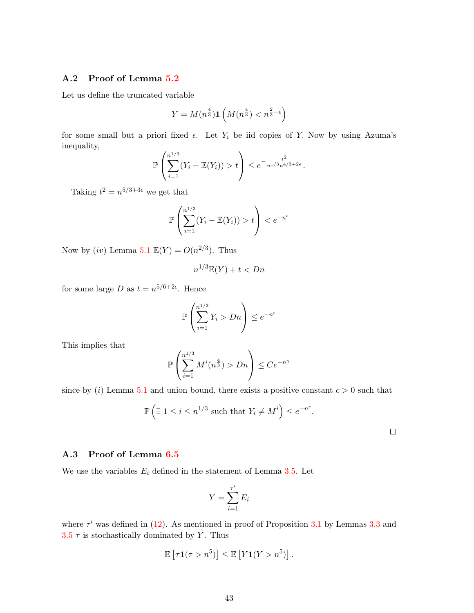## A.2 Proof of Lemma [5.2](#page-25-0)

Let us define the truncated variable

$$
Y = M(n^{\frac{4}{3}})\mathbf{1}\left(M(n^{\frac{4}{3}}) < n^{\frac{2}{3} + \epsilon}\right)
$$

for some small but a priori fixed  $\epsilon$ . Let  $Y_i$  be iid copies of Y. Now by using Azuma's inequality,

$$
\mathbb{P}\left(\sum_{i=1}^{n^{1/3}} (Y_i - \mathbb{E}(Y_i)) > t\right) \leq e^{-\frac{t^2}{n^{1/3}n^{4/3+2\epsilon}}}.
$$

Taking  $t^2 = n^{5/3+3\epsilon}$  we get that

$$
\mathbb{P}\left(\sum_{i=1}^{n^{1/3}} (Y_i - \mathbb{E}(Y_i)) > t\right) < e^{-n^{\epsilon}}
$$

Now by  $(iv)$  Lemma [5.1](#page-0-0)  $\mathbb{E}(Y) = O(n^{2/3})$ . Thus

$$
n^{1/3}\mathbb{E}(Y) + t < Dn
$$

for some large D as  $t = n^{5/6+2\epsilon}$ . Hence

$$
\mathbb{P}\left(\sum_{i=1}^{n^{1/3}} Y_i > Dn\right) \le e^{-n^{\epsilon}}
$$

This implies that

$$
\mathbb{P}\left(\sum_{i=1}^{n^{1/3}} M^i(n^{\frac{4}{3}}) > Dn\right) \le Ce^{-n^{\gamma}}
$$

since by  $(i)$  Lemma [5.1](#page-0-0) and union bound, there exists a positive constant  $c > 0$  such that

$$
\mathbb{P}\left(\exists 1 \le i \le n^{1/3} \text{ such that } Y_i \ne M^i\right) \le e^{-n^c}.
$$

#### A.3 Proof of Lemma [6.5](#page-32-4)

We use the variables  $E_i$  defined in the statement of Lemma [3.5.](#page-10-0) Let

$$
Y = \sum_{i=1}^{\tau'} E_i
$$

where  $\tau'$  was defined in [\(12\)](#page-8-0). As mentioned in proof of Proposition [3.1](#page-7-3) by Lemmas [3.3](#page-9-1) and  $3.5 \tau$  $3.5 \tau$  is stochastically dominated by Y. Thus

$$
\mathbb{E}\left[\tau\mathbf{1}(\tau>n^5)\right] \leq \mathbb{E}\left[Y\mathbf{1}(Y>n^5)\right].
$$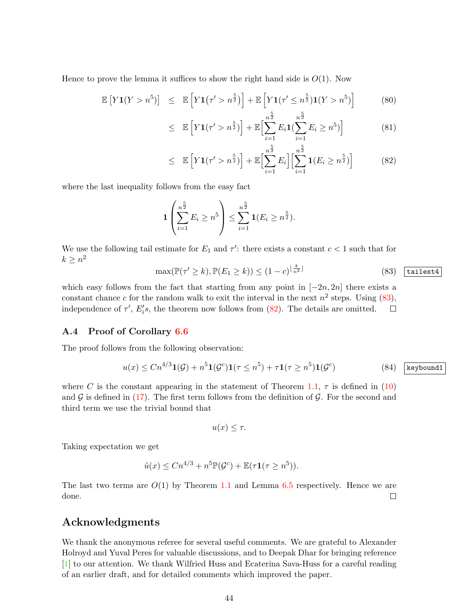Hence to prove the lemma it suffices to show the right hand side is  $O(1)$ . Now

<span id="page-43-1"></span>
$$
\mathbb{E}\left[Y\mathbf{1}(Y>n^5)\right] \leq \mathbb{E}\left[Y\mathbf{1}\left(\tau'>n^{\frac{5}{2}}\right)\right] + \mathbb{E}\left[Y\mathbf{1}\left(\tau'\leq n^{\frac{5}{2}}\right)\mathbf{1}\left(Y>n^5\right)\right] \tag{80}
$$

$$
\leq \mathbb{E}\left[Y\mathbf{1}(\tau'>n^{\frac{5}{2}})\right]+\mathbb{E}\Big[\sum_{i=1}^{n^{\frac{5}{2}}}E_i\mathbf{1}(\sum_{i=1}^{n^{\frac{5}{2}}}E_i\geq n^5)\Big] \hspace{1cm} (81)
$$

$$
\leq \mathbb{E}\left[Y\mathbf{1}(\tau' > n^{\frac{5}{2}})\right] + \mathbb{E}\Big[\sum_{i=1}^{n^{\frac{5}{2}}} E_i\Big] \Big[\sum_{i=1}^{n^{\frac{5}{2}}} \mathbf{1}(E_i \geq n^{\frac{5}{2}})\Big] \tag{82}
$$

where the last inequality follows from the easy fact

$$
1\left(\sum_{i=1}^{n^{\frac{5}{2}}} E_i \geq n^5\right) \leq \sum_{i=1}^{n^{\frac{5}{2}}} 1(E_i \geq n^{\frac{5}{2}}).
$$

We use the following tail estimate for  $E_1$  and  $\tau'$ : there exists a constant  $c < 1$  such that for  $k \geq n^2$ 

<span id="page-43-0"></span>
$$
\max(\mathbb{P}(\tau' \ge k), \mathbb{P}(E_1 \ge k)) \le (1 - c)^{\lfloor \frac{k}{n^2} \rfloor} \tag{83}
$$
  $\boxed{\text{tailest4}}$ 

which easy follows from the fact that starting from any point in  $[-2n, 2n]$  there exists a constant chance c for the random walk to exit the interval in the next  $n^2$  steps. Using [\(83\)](#page-43-0), independence of  $\tau'$ ,  $E_i's$ , the theorem now follows from [\(82\)](#page-43-1). The details are omitted.  $\Box$ 

## A.4 Proof of Corollary [6.6](#page-32-3)

The proof follows from the following observation:

$$
u(x) \le C n^{4/3} \mathbf{1}(\mathcal{G}) + n^5 \mathbf{1}(\mathcal{G}^c) \mathbf{1}(\tau \le n^5) + \tau \mathbf{1}(\tau \ge n^5) \mathbf{1}(\mathcal{G}^c)
$$
 (84) keybound1

where C is the constant appearing in the statement of Theorem [1.1,](#page-1-0)  $\tau$  is defined in [\(10\)](#page-7-4) and  $\mathcal G$  is defined in [\(17\)](#page-11-3). The first term follows from the definition of  $\mathcal G$ . For the second and third term we use the trivial bound that

$$
u(x) \leq \tau.
$$

Taking expectation we get

$$
\tilde{u}(x) \leq Cn^{4/3} + n^5 \mathbb{P}(\mathcal{G}^c) + \mathbb{E}(\tau \mathbf{1}(\tau \geq n^5)).
$$

The last two terms are  $O(1)$  by Theorem [1.1](#page-1-0) and Lemma [6.5](#page-32-4) respectively. Hence we are done.  $\Box$ 

# Acknowledgments

We thank the anonymous referee for several useful comments. We are grateful to Alexander Holroyd and Yuval Peres for valuable discussions, and to Deepak Dhar for bringing reference [\[1\]](#page-44-2) to our attention. We thank Wilfried Huss and Ecaterina Sava-Huss for a careful reading of an earlier draft, and for detailed comments which improved the paper.